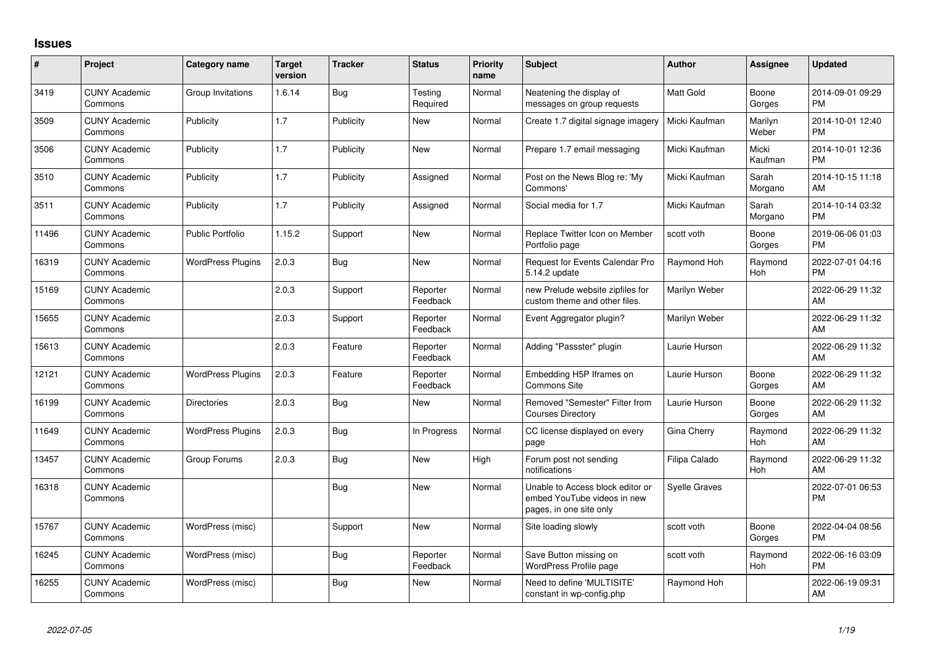## **Issues**

| $\pmb{\sharp}$ | Project                         | <b>Category name</b>     | <b>Target</b><br>version | <b>Tracker</b> | <b>Status</b>        | <b>Priority</b><br>name | <b>Subject</b>                                                                             | <b>Author</b>        | Assignee         | <b>Updated</b>                |
|----------------|---------------------------------|--------------------------|--------------------------|----------------|----------------------|-------------------------|--------------------------------------------------------------------------------------------|----------------------|------------------|-------------------------------|
| 3419           | <b>CUNY Academic</b><br>Commons | Group Invitations        | 1.6.14                   | Bug            | Testing<br>Required  | Normal                  | Neatening the display of<br>messages on group requests                                     | Matt Gold            | Boone<br>Gorges  | 2014-09-01 09:29<br><b>PM</b> |
| 3509           | <b>CUNY Academic</b><br>Commons | Publicity                | 1.7                      | Publicity      | New                  | Normal                  | Create 1.7 digital signage imagery                                                         | Micki Kaufman        | Marilyn<br>Weber | 2014-10-01 12:40<br><b>PM</b> |
| 3506           | <b>CUNY Academic</b><br>Commons | Publicity                | 1.7                      | Publicity      | New                  | Normal                  | Prepare 1.7 email messaging                                                                | Micki Kaufman        | Micki<br>Kaufman | 2014-10-01 12:36<br><b>PM</b> |
| 3510           | <b>CUNY Academic</b><br>Commons | Publicity                | 1.7                      | Publicity      | Assigned             | Normal                  | Post on the News Blog re: 'My<br>Commons'                                                  | Micki Kaufman        | Sarah<br>Morgano | 2014-10-15 11:18<br>AM        |
| 3511           | <b>CUNY Academic</b><br>Commons | Publicity                | 1.7                      | Publicity      | Assigned             | Normal                  | Social media for 1.7                                                                       | Micki Kaufman        | Sarah<br>Morgano | 2014-10-14 03:32<br><b>PM</b> |
| 11496          | <b>CUNY Academic</b><br>Commons | <b>Public Portfolio</b>  | 1.15.2                   | Support        | New                  | Normal                  | Replace Twitter Icon on Member<br>Portfolio page                                           | scott voth           | Boone<br>Gorges  | 2019-06-06 01:03<br><b>PM</b> |
| 16319          | <b>CUNY Academic</b><br>Commons | <b>WordPress Plugins</b> | 2.0.3                    | Bug            | <b>New</b>           | Normal                  | <b>Request for Events Calendar Pro</b><br>5.14.2 update                                    | Raymond Hoh          | Raymond<br>Hoh   | 2022-07-01 04:16<br><b>PM</b> |
| 15169          | <b>CUNY Academic</b><br>Commons |                          | 2.0.3                    | Support        | Reporter<br>Feedback | Normal                  | new Prelude website zipfiles for<br>custom theme and other files.                          | Marilyn Weber        |                  | 2022-06-29 11:32<br>AM        |
| 15655          | <b>CUNY Academic</b><br>Commons |                          | 2.0.3                    | Support        | Reporter<br>Feedback | Normal                  | Event Aggregator plugin?                                                                   | Marilyn Weber        |                  | 2022-06-29 11:32<br>AM        |
| 15613          | <b>CUNY Academic</b><br>Commons |                          | 2.0.3                    | Feature        | Reporter<br>Feedback | Normal                  | Adding "Passster" plugin                                                                   | Laurie Hurson        |                  | 2022-06-29 11:32<br>AM        |
| 12121          | <b>CUNY Academic</b><br>Commons | <b>WordPress Plugins</b> | 2.0.3                    | Feature        | Reporter<br>Feedback | Normal                  | Embedding H5P Iframes on<br>Commons Site                                                   | Laurie Hurson        | Boone<br>Gorges  | 2022-06-29 11:32<br>AM        |
| 16199          | <b>CUNY Academic</b><br>Commons | <b>Directories</b>       | 2.0.3                    | Bug            | <b>New</b>           | Normal                  | Removed "Semester" Filter from<br><b>Courses Directory</b>                                 | Laurie Hurson        | Boone<br>Gorges  | 2022-06-29 11:32<br>AM        |
| 11649          | <b>CUNY Academic</b><br>Commons | <b>WordPress Plugins</b> | 2.0.3                    | Bug            | In Progress          | Normal                  | CC license displayed on every<br>page                                                      | Gina Cherry          | Raymond<br>Hoh   | 2022-06-29 11:32<br>AM        |
| 13457          | <b>CUNY Academic</b><br>Commons | Group Forums             | 2.0.3                    | Bug            | New                  | High                    | Forum post not sending<br>notifications                                                    | Filipa Calado        | Raymond<br>Hoh   | 2022-06-29 11:32<br>AM        |
| 16318          | <b>CUNY Academic</b><br>Commons |                          |                          | <b>Bug</b>     | New                  | Normal                  | Unable to Access block editor or<br>embed YouTube videos in new<br>pages, in one site only | <b>Syelle Graves</b> |                  | 2022-07-01 06:53<br><b>PM</b> |
| 15767          | <b>CUNY Academic</b><br>Commons | WordPress (misc)         |                          | Support        | <b>New</b>           | Normal                  | Site loading slowly                                                                        | scott voth           | Boone<br>Gorges  | 2022-04-04 08:56<br><b>PM</b> |
| 16245          | <b>CUNY Academic</b><br>Commons | WordPress (misc)         |                          | Bug            | Reporter<br>Feedback | Normal                  | Save Button missing on<br><b>WordPress Profile page</b>                                    | scott voth           | Raymond<br>Hoh   | 2022-06-16 03:09<br><b>PM</b> |
| 16255          | <b>CUNY Academic</b><br>Commons | WordPress (misc)         |                          | <b>Bug</b>     | <b>New</b>           | Normal                  | Need to define 'MULTISITE'<br>constant in wp-config.php                                    | Raymond Hoh          |                  | 2022-06-19 09:31<br>AM        |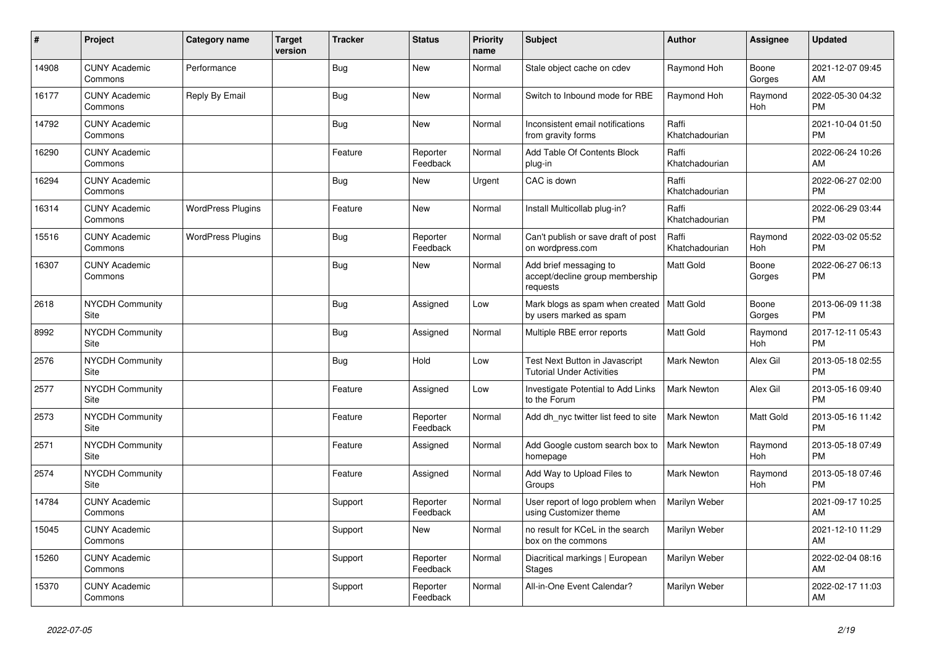| #     | Project                         | Category name            | <b>Target</b><br>version | <b>Tracker</b> | <b>Status</b>        | <b>Priority</b><br>name | <b>Subject</b>                                                         | <b>Author</b>           | <b>Assignee</b> | <b>Updated</b>                |
|-------|---------------------------------|--------------------------|--------------------------|----------------|----------------------|-------------------------|------------------------------------------------------------------------|-------------------------|-----------------|-------------------------------|
| 14908 | <b>CUNY Academic</b><br>Commons | Performance              |                          | Bug            | <b>New</b>           | Normal                  | Stale object cache on cdev                                             | Raymond Hoh             | Boone<br>Gorges | 2021-12-07 09:45<br>AM        |
| 16177 | <b>CUNY Academic</b><br>Commons | Reply By Email           |                          | Bug            | <b>New</b>           | Normal                  | Switch to Inbound mode for RBE                                         | Raymond Hoh             | Raymond<br>Hoh  | 2022-05-30 04:32<br><b>PM</b> |
| 14792 | <b>CUNY Academic</b><br>Commons |                          |                          | Bug            | <b>New</b>           | Normal                  | Inconsistent email notifications<br>from gravity forms                 | Raffi<br>Khatchadourian |                 | 2021-10-04 01:50<br><b>PM</b> |
| 16290 | <b>CUNY Academic</b><br>Commons |                          |                          | Feature        | Reporter<br>Feedback | Normal                  | Add Table Of Contents Block<br>plug-in                                 | Raffi<br>Khatchadourian |                 | 2022-06-24 10:26<br>AM        |
| 16294 | <b>CUNY Academic</b><br>Commons |                          |                          | Bug            | <b>New</b>           | Urgent                  | CAC is down                                                            | Raffi<br>Khatchadourian |                 | 2022-06-27 02:00<br><b>PM</b> |
| 16314 | <b>CUNY Academic</b><br>Commons | <b>WordPress Plugins</b> |                          | Feature        | <b>New</b>           | Normal                  | Install Multicollab plug-in?                                           | Raffi<br>Khatchadourian |                 | 2022-06-29 03:44<br><b>PM</b> |
| 15516 | <b>CUNY Academic</b><br>Commons | <b>WordPress Plugins</b> |                          | Bug            | Reporter<br>Feedback | Normal                  | Can't publish or save draft of post<br>on wordpress.com                | Raffi<br>Khatchadourian | Raymond<br>Hoh  | 2022-03-02 05:52<br><b>PM</b> |
| 16307 | <b>CUNY Academic</b><br>Commons |                          |                          | Bug            | <b>New</b>           | Normal                  | Add brief messaging to<br>accept/decline group membership<br>requests  | <b>Matt Gold</b>        | Boone<br>Gorges | 2022-06-27 06:13<br><b>PM</b> |
| 2618  | NYCDH Community<br>Site         |                          |                          | Bug            | Assigned             | Low                     | Mark blogs as spam when created   Matt Gold<br>by users marked as spam |                         | Boone<br>Gorges | 2013-06-09 11:38<br><b>PM</b> |
| 8992  | <b>NYCDH Community</b><br>Site  |                          |                          | <b>Bug</b>     | Assigned             | Normal                  | Multiple RBE error reports                                             | <b>Matt Gold</b>        | Raymond<br>Hoh  | 2017-12-11 05:43<br><b>PM</b> |
| 2576  | NYCDH Community<br>Site         |                          |                          | Bug            | Hold                 | Low                     | Test Next Button in Javascript<br><b>Tutorial Under Activities</b>     | Mark Newton             | Alex Gil        | 2013-05-18 02:55<br><b>PM</b> |
| 2577  | <b>NYCDH Community</b><br>Site  |                          |                          | Feature        | Assigned             | Low                     | Investigate Potential to Add Links<br>to the Forum                     | <b>Mark Newton</b>      | Alex Gil        | 2013-05-16 09:40<br><b>PM</b> |
| 2573  | <b>NYCDH Community</b><br>Site  |                          |                          | Feature        | Reporter<br>Feedback | Normal                  | Add dh nyc twitter list feed to site                                   | <b>Mark Newton</b>      | Matt Gold       | 2013-05-16 11:42<br><b>PM</b> |
| 2571  | NYCDH Community<br>Site         |                          |                          | Feature        | Assigned             | Normal                  | Add Google custom search box to<br>homepage                            | <b>Mark Newton</b>      | Raymond<br>Hoh  | 2013-05-18 07:49<br><b>PM</b> |
| 2574  | <b>NYCDH Community</b><br>Site  |                          |                          | Feature        | Assigned             | Normal                  | Add Way to Upload Files to<br>Groups                                   | <b>Mark Newton</b>      | Raymond<br>Hoh  | 2013-05-18 07:46<br><b>PM</b> |
| 14784 | <b>CUNY Academic</b><br>Commons |                          |                          | Support        | Reporter<br>Feedback | Normal                  | User report of logo problem when<br>using Customizer theme             | Marilyn Weber           |                 | 2021-09-17 10:25<br>AM        |
| 15045 | <b>CUNY Academic</b><br>Commons |                          |                          | Support        | <b>New</b>           | Normal                  | no result for KCeL in the search<br>box on the commons                 | Marilyn Weber           |                 | 2021-12-10 11:29<br>AM        |
| 15260 | <b>CUNY Academic</b><br>Commons |                          |                          | Support        | Reporter<br>Feedback | Normal                  | Diacritical markings   European<br><b>Stages</b>                       | Marilyn Weber           |                 | 2022-02-04 08:16<br>AM        |
| 15370 | <b>CUNY Academic</b><br>Commons |                          |                          | Support        | Reporter<br>Feedback | Normal                  | All-in-One Event Calendar?                                             | Marilyn Weber           |                 | 2022-02-17 11:03<br>AM        |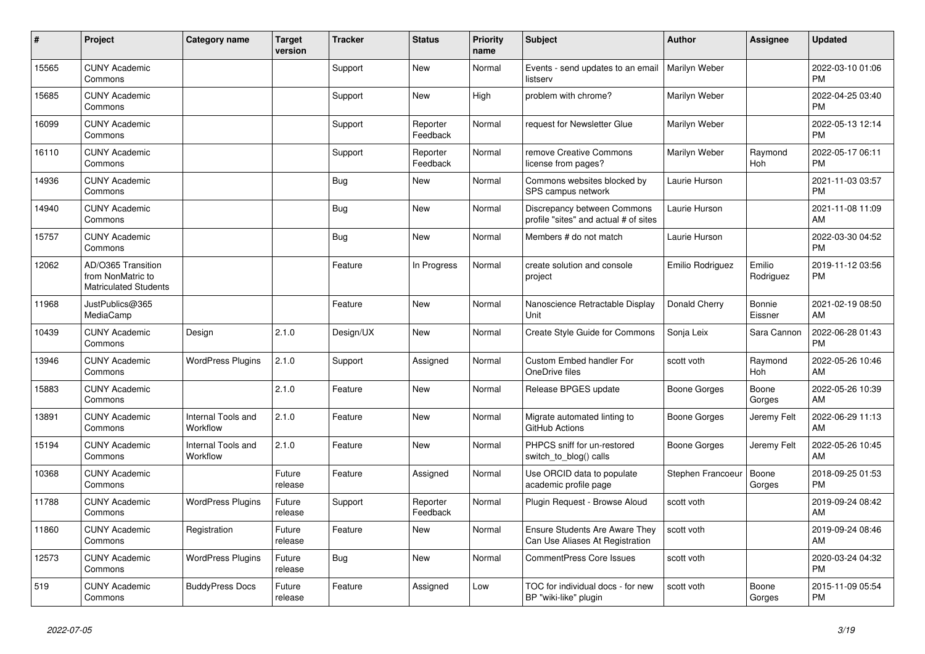| #     | Project                                                                 | <b>Category name</b>           | <b>Target</b><br>version | <b>Tracker</b> | <b>Status</b>        | <b>Priority</b><br>name | <b>Subject</b>                                                           | <b>Author</b>     | Assignee            | <b>Updated</b>                |
|-------|-------------------------------------------------------------------------|--------------------------------|--------------------------|----------------|----------------------|-------------------------|--------------------------------------------------------------------------|-------------------|---------------------|-------------------------------|
| 15565 | <b>CUNY Academic</b><br>Commons                                         |                                |                          | Support        | <b>New</b>           | Normal                  | Events - send updates to an email<br>listserv                            | Marilyn Weber     |                     | 2022-03-10 01:06<br><b>PM</b> |
| 15685 | <b>CUNY Academic</b><br>Commons                                         |                                |                          | Support        | <b>New</b>           | High                    | problem with chrome?                                                     | Marilyn Weber     |                     | 2022-04-25 03:40<br><b>PM</b> |
| 16099 | <b>CUNY Academic</b><br>Commons                                         |                                |                          | Support        | Reporter<br>Feedback | Normal                  | request for Newsletter Glue                                              | Marilyn Weber     |                     | 2022-05-13 12:14<br><b>PM</b> |
| 16110 | <b>CUNY Academic</b><br>Commons                                         |                                |                          | Support        | Reporter<br>Feedback | Normal                  | remove Creative Commons<br>license from pages?                           | Marilyn Weber     | Raymond<br>Hoh      | 2022-05-17 06:11<br><b>PM</b> |
| 14936 | <b>CUNY Academic</b><br>Commons                                         |                                |                          | Bug            | New                  | Normal                  | Commons websites blocked by<br>SPS campus network                        | Laurie Hurson     |                     | 2021-11-03 03:57<br><b>PM</b> |
| 14940 | <b>CUNY Academic</b><br>Commons                                         |                                |                          | <b>Bug</b>     | New                  | Normal                  | Discrepancy between Commons<br>profile "sites" and actual # of sites     | Laurie Hurson     |                     | 2021-11-08 11:09<br>AM        |
| 15757 | <b>CUNY Academic</b><br>Commons                                         |                                |                          | <b>Bug</b>     | <b>New</b>           | Normal                  | Members # do not match                                                   | Laurie Hurson     |                     | 2022-03-30 04:52<br><b>PM</b> |
| 12062 | AD/O365 Transition<br>from NonMatric to<br><b>Matriculated Students</b> |                                |                          | Feature        | In Progress          | Normal                  | create solution and console<br>project                                   | Emilio Rodriguez  | Emilio<br>Rodriguez | 2019-11-12 03:56<br><b>PM</b> |
| 11968 | JustPublics@365<br>MediaCamp                                            |                                |                          | Feature        | <b>New</b>           | Normal                  | Nanoscience Retractable Display<br>Unit                                  | Donald Cherry     | Bonnie<br>Eissner   | 2021-02-19 08:50<br>AM        |
| 10439 | <b>CUNY Academic</b><br>Commons                                         | Design                         | 2.1.0                    | Design/UX      | <b>New</b>           | Normal                  | Create Style Guide for Commons                                           | Sonja Leix        | Sara Cannon         | 2022-06-28 01:43<br><b>PM</b> |
| 13946 | <b>CUNY Academic</b><br>Commons                                         | <b>WordPress Plugins</b>       | 2.1.0                    | Support        | Assigned             | Normal                  | Custom Embed handler For<br>OneDrive files                               | scott voth        | Raymond<br>Hoh      | 2022-05-26 10:46<br>AM        |
| 15883 | <b>CUNY Academic</b><br>Commons                                         |                                | 2.1.0                    | Feature        | New                  | Normal                  | Release BPGES update                                                     | Boone Gorges      | Boone<br>Gorges     | 2022-05-26 10:39<br>AM        |
| 13891 | <b>CUNY Academic</b><br>Commons                                         | Internal Tools and<br>Workflow | 2.1.0                    | Feature        | <b>New</b>           | Normal                  | Migrate automated linting to<br>GitHub Actions                           | Boone Gorges      | Jeremy Felt         | 2022-06-29 11:13<br>AM        |
| 15194 | <b>CUNY Academic</b><br>Commons                                         | Internal Tools and<br>Workflow | 2.1.0                    | Feature        | <b>New</b>           | Normal                  | PHPCS sniff for un-restored<br>switch_to_blog() calls                    | Boone Gorges      | Jeremy Felt         | 2022-05-26 10:45<br>AM        |
| 10368 | <b>CUNY Academic</b><br>Commons                                         |                                | Future<br>release        | Feature        | Assigned             | Normal                  | Use ORCID data to populate<br>academic profile page                      | Stephen Francoeur | Boone<br>Gorges     | 2018-09-25 01:53<br><b>PM</b> |
| 11788 | <b>CUNY Academic</b><br>Commons                                         | <b>WordPress Plugins</b>       | Future<br>release        | Support        | Reporter<br>Feedback | Normal                  | Plugin Request - Browse Aloud                                            | scott voth        |                     | 2019-09-24 08:42<br>AM        |
| 11860 | <b>CUNY Academic</b><br>Commons                                         | Registration                   | Future<br>release        | Feature        | <b>New</b>           | Normal                  | <b>Ensure Students Are Aware They</b><br>Can Use Aliases At Registration | scott voth        |                     | 2019-09-24 08:46<br>AM        |
| 12573 | <b>CUNY Academic</b><br>Commons                                         | <b>WordPress Plugins</b>       | Future<br>release        | <b>Bug</b>     | <b>New</b>           | Normal                  | <b>CommentPress Core Issues</b>                                          | scott voth        |                     | 2020-03-24 04:32<br><b>PM</b> |
| 519   | <b>CUNY Academic</b><br>Commons                                         | <b>BuddyPress Docs</b>         | Future<br>release        | Feature        | Assigned             | Low                     | TOC for individual docs - for new<br>BP "wiki-like" plugin               | scott voth        | Boone<br>Gorges     | 2015-11-09 05:54<br><b>PM</b> |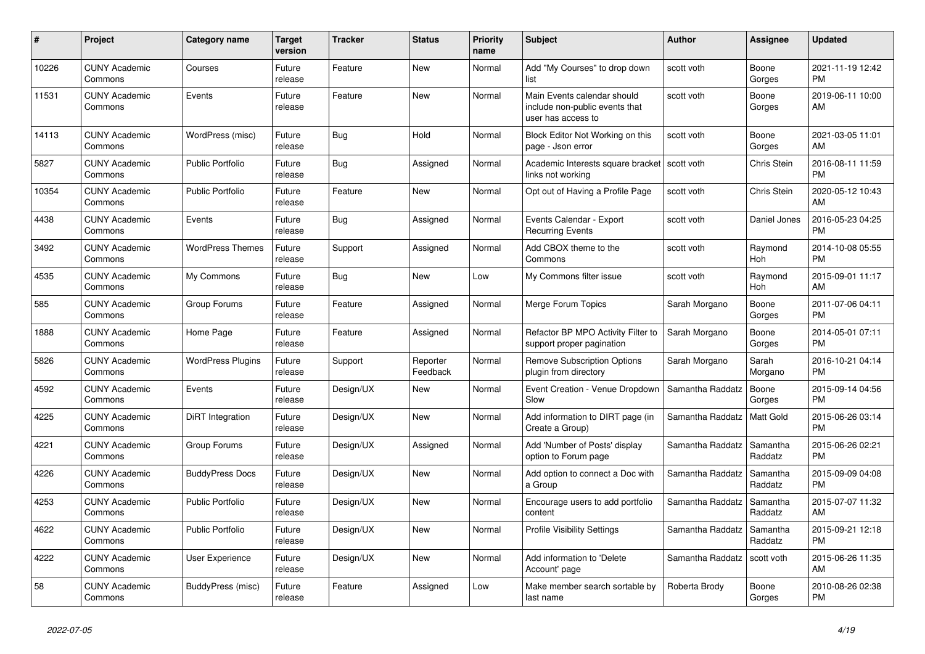| #     | <b>Project</b>                  | Category name            | <b>Target</b><br>version | <b>Tracker</b> | <b>Status</b>        | Priority<br>name | <b>Subject</b>                                                                      | <b>Author</b>    | Assignee            | <b>Updated</b>                |
|-------|---------------------------------|--------------------------|--------------------------|----------------|----------------------|------------------|-------------------------------------------------------------------------------------|------------------|---------------------|-------------------------------|
| 10226 | <b>CUNY Academic</b><br>Commons | Courses                  | Future<br>release        | Feature        | New                  | Normal           | Add "My Courses" to drop down<br>list                                               | scott voth       | Boone<br>Gorges     | 2021-11-19 12:42<br><b>PM</b> |
| 11531 | <b>CUNY Academic</b><br>Commons | Events                   | Future<br>release        | Feature        | New                  | Normal           | Main Events calendar should<br>include non-public events that<br>user has access to | scott voth       | Boone<br>Gorges     | 2019-06-11 10:00<br>AM        |
| 14113 | <b>CUNY Academic</b><br>Commons | WordPress (misc)         | Future<br>release        | Bug            | Hold                 | Normal           | Block Editor Not Working on this<br>page - Json error                               | scott voth       | Boone<br>Gorges     | 2021-03-05 11:01<br>AM        |
| 5827  | <b>CUNY Academic</b><br>Commons | <b>Public Portfolio</b>  | Future<br>release        | <b>Bug</b>     | Assigned             | Normal           | Academic Interests square bracket<br>links not working                              | scott voth       | Chris Stein         | 2016-08-11 11:59<br><b>PM</b> |
| 10354 | <b>CUNY Academic</b><br>Commons | <b>Public Portfolio</b>  | Future<br>release        | Feature        | New                  | Normal           | Opt out of Having a Profile Page                                                    | scott voth       | <b>Chris Stein</b>  | 2020-05-12 10:43<br>AM        |
| 4438  | <b>CUNY Academic</b><br>Commons | Events                   | Future<br>release        | Bug            | Assigned             | Normal           | Events Calendar - Export<br><b>Recurring Events</b>                                 | scott voth       | Daniel Jones        | 2016-05-23 04:25<br><b>PM</b> |
| 3492  | <b>CUNY Academic</b><br>Commons | <b>WordPress Themes</b>  | Future<br>release        | Support        | Assigned             | Normal           | Add CBOX theme to the<br>Commons                                                    | scott voth       | Raymond<br>Hoh      | 2014-10-08 05:55<br><b>PM</b> |
| 4535  | <b>CUNY Academic</b><br>Commons | My Commons               | Future<br>release        | Bug            | New                  | Low              | My Commons filter issue                                                             | scott voth       | Raymond<br>Hoh      | 2015-09-01 11:17<br>AM        |
| 585   | <b>CUNY Academic</b><br>Commons | Group Forums             | Future<br>release        | Feature        | Assigned             | Normal           | Merge Forum Topics                                                                  | Sarah Morgano    | Boone<br>Gorges     | 2011-07-06 04:11<br><b>PM</b> |
| 1888  | <b>CUNY Academic</b><br>Commons | Home Page                | Future<br>release        | Feature        | Assigned             | Normal           | Refactor BP MPO Activity Filter to<br>support proper pagination                     | Sarah Morgano    | Boone<br>Gorges     | 2014-05-01 07:11<br><b>PM</b> |
| 5826  | <b>CUNY Academic</b><br>Commons | <b>WordPress Plugins</b> | Future<br>release        | Support        | Reporter<br>Feedback | Normal           | <b>Remove Subscription Options</b><br>plugin from directory                         | Sarah Morgano    | Sarah<br>Morgano    | 2016-10-21 04:14<br><b>PM</b> |
| 4592  | <b>CUNY Academic</b><br>Commons | Events                   | Future<br>release        | Design/UX      | New                  | Normal           | Event Creation - Venue Dropdown<br>Slow                                             | Samantha Raddatz | Boone<br>Gorges     | 2015-09-14 04:56<br><b>PM</b> |
| 4225  | <b>CUNY Academic</b><br>Commons | DiRT Integration         | Future<br>release        | Design/UX      | <b>New</b>           | Normal           | Add information to DIRT page (in<br>Create a Group)                                 | Samantha Raddatz | Matt Gold           | 2015-06-26 03:14<br><b>PM</b> |
| 4221  | <b>CUNY Academic</b><br>Commons | Group Forums             | Future<br>release        | Design/UX      | Assigned             | Normal           | Add 'Number of Posts' display<br>option to Forum page                               | Samantha Raddatz | Samantha<br>Raddatz | 2015-06-26 02:21<br><b>PM</b> |
| 4226  | <b>CUNY Academic</b><br>Commons | <b>BuddyPress Docs</b>   | Future<br>release        | Design/UX      | New                  | Normal           | Add option to connect a Doc with<br>a Group                                         | Samantha Raddatz | Samantha<br>Raddatz | 2015-09-09 04:08<br><b>PM</b> |
| 4253  | <b>CUNY Academic</b><br>Commons | <b>Public Portfolio</b>  | Future<br>release        | Design/UX      | <b>New</b>           | Normal           | Encourage users to add portfolio<br>content                                         | Samantha Raddatz | Samantha<br>Raddatz | 2015-07-07 11:32<br>AM        |
| 4622  | <b>CUNY Academic</b><br>Commons | <b>Public Portfolio</b>  | Future<br>release        | Design/UX      | <b>New</b>           | Normal           | <b>Profile Visibility Settings</b>                                                  | Samantha Raddatz | Samantha<br>Raddatz | 2015-09-21 12:18<br><b>PM</b> |
| 4222  | <b>CUNY Academic</b><br>Commons | User Experience          | Future<br>release        | Design/UX      | New                  | Normal           | Add information to 'Delete<br>Account' page                                         | Samantha Raddatz | scott voth          | 2015-06-26 11:35<br>AM        |
| 58    | <b>CUNY Academic</b><br>Commons | BuddyPress (misc)        | Future<br>release        | Feature        | Assigned             | Low              | Make member search sortable by<br>last name                                         | Roberta Brody    | Boone<br>Gorges     | 2010-08-26 02:38<br><b>PM</b> |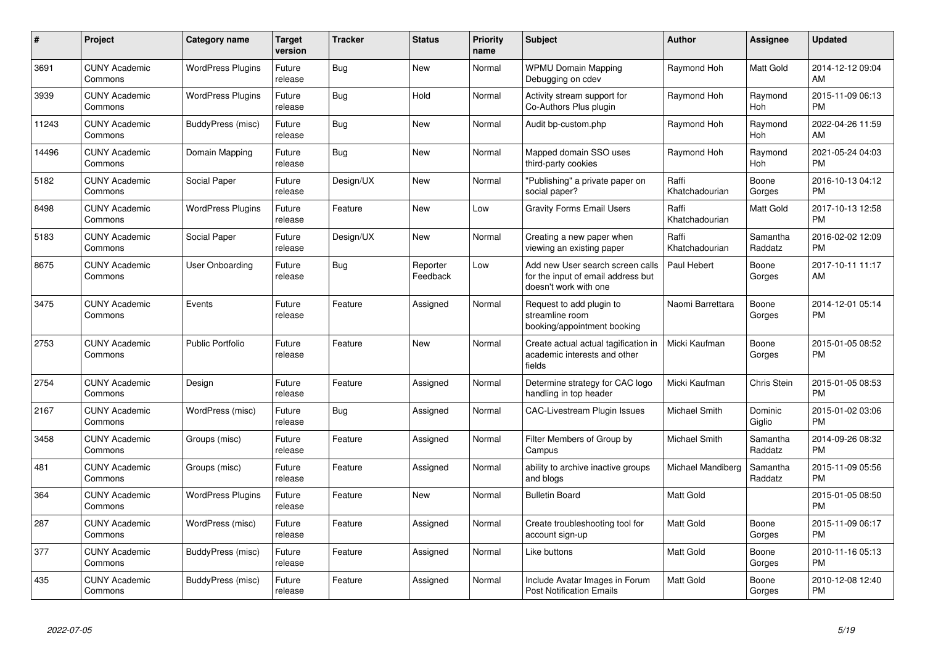| $\pmb{\#}$ | Project                         | <b>Category name</b>     | <b>Target</b><br>version | <b>Tracker</b> | <b>Status</b>        | <b>Priority</b><br>name | <b>Subject</b>                                                                                  | <b>Author</b>           | <b>Assignee</b>     | <b>Updated</b>                |
|------------|---------------------------------|--------------------------|--------------------------|----------------|----------------------|-------------------------|-------------------------------------------------------------------------------------------------|-------------------------|---------------------|-------------------------------|
| 3691       | <b>CUNY Academic</b><br>Commons | <b>WordPress Plugins</b> | Future<br>release        | Bug            | <b>New</b>           | Normal                  | <b>WPMU Domain Mapping</b><br>Debugging on cdev                                                 | Raymond Hoh             | Matt Gold           | 2014-12-12 09:04<br>AM        |
| 3939       | <b>CUNY Academic</b><br>Commons | <b>WordPress Plugins</b> | Future<br>release        | Bug            | Hold                 | Normal                  | Activity stream support for<br>Co-Authors Plus plugin                                           | Raymond Hoh             | Raymond<br>Hoh      | 2015-11-09 06:13<br><b>PM</b> |
| 11243      | <b>CUNY Academic</b><br>Commons | BuddyPress (misc)        | Future<br>release        | Bug            | New                  | Normal                  | Audit bp-custom.php                                                                             | Raymond Hoh             | Raymond<br>Hoh      | 2022-04-26 11:59<br>AM        |
| 14496      | <b>CUNY Academic</b><br>Commons | Domain Mapping           | Future<br>release        | Bug            | New                  | Normal                  | Mapped domain SSO uses<br>third-party cookies                                                   | Raymond Hoh             | Raymond<br>Hoh      | 2021-05-24 04:03<br><b>PM</b> |
| 5182       | <b>CUNY Academic</b><br>Commons | Social Paper             | Future<br>release        | Design/UX      | New                  | Normal                  | "Publishing" a private paper on<br>social paper?                                                | Raffi<br>Khatchadourian | Boone<br>Gorges     | 2016-10-13 04:12<br><b>PM</b> |
| 8498       | <b>CUNY Academic</b><br>Commons | <b>WordPress Plugins</b> | Future<br>release        | Feature        | <b>New</b>           | Low                     | <b>Gravity Forms Email Users</b>                                                                | Raffi<br>Khatchadourian | Matt Gold           | 2017-10-13 12:58<br><b>PM</b> |
| 5183       | <b>CUNY Academic</b><br>Commons | Social Paper             | Future<br>release        | Design/UX      | <b>New</b>           | Normal                  | Creating a new paper when<br>viewing an existing paper                                          | Raffi<br>Khatchadourian | Samantha<br>Raddatz | 2016-02-02 12:09<br><b>PM</b> |
| 8675       | <b>CUNY Academic</b><br>Commons | User Onboarding          | Future<br>release        | Bug            | Reporter<br>Feedback | Low                     | Add new User search screen calls<br>for the input of email address but<br>doesn't work with one | Paul Hebert             | Boone<br>Gorges     | 2017-10-11 11:17<br>AM        |
| 3475       | <b>CUNY Academic</b><br>Commons | Events                   | Future<br>release        | Feature        | Assigned             | Normal                  | Request to add plugin to<br>streamline room<br>booking/appointment booking                      | Naomi Barrettara        | Boone<br>Gorges     | 2014-12-01 05:14<br><b>PM</b> |
| 2753       | <b>CUNY Academic</b><br>Commons | <b>Public Portfolio</b>  | Future<br>release        | Feature        | New                  | Normal                  | Create actual actual tagification in<br>academic interests and other<br>fields                  | Micki Kaufman           | Boone<br>Gorges     | 2015-01-05 08:52<br><b>PM</b> |
| 2754       | <b>CUNY Academic</b><br>Commons | Design                   | Future<br>release        | Feature        | Assigned             | Normal                  | Determine strategy for CAC logo<br>handling in top header                                       | Micki Kaufman           | Chris Stein         | 2015-01-05 08:53<br><b>PM</b> |
| 2167       | <b>CUNY Academic</b><br>Commons | WordPress (misc)         | Future<br>release        | <b>Bug</b>     | Assigned             | Normal                  | <b>CAC-Livestream Plugin Issues</b>                                                             | Michael Smith           | Dominic<br>Giglio   | 2015-01-02 03:06<br><b>PM</b> |
| 3458       | <b>CUNY Academic</b><br>Commons | Groups (misc)            | Future<br>release        | Feature        | Assigned             | Normal                  | Filter Members of Group by<br>Campus                                                            | Michael Smith           | Samantha<br>Raddatz | 2014-09-26 08:32<br><b>PM</b> |
| 481        | <b>CUNY Academic</b><br>Commons | Groups (misc)            | Future<br>release        | Feature        | Assigned             | Normal                  | ability to archive inactive groups<br>and blogs                                                 | Michael Mandiberg       | Samantha<br>Raddatz | 2015-11-09 05:56<br><b>PM</b> |
| 364        | <b>CUNY Academic</b><br>Commons | <b>WordPress Plugins</b> | Future<br>release        | Feature        | New                  | Normal                  | <b>Bulletin Board</b>                                                                           | <b>Matt Gold</b>        |                     | 2015-01-05 08:50<br><b>PM</b> |
| 287        | <b>CUNY Academic</b><br>Commons | WordPress (misc)         | Future<br>release        | Feature        | Assigned             | Normal                  | Create troubleshooting tool for<br>account sign-up                                              | <b>Matt Gold</b>        | Boone<br>Gorges     | 2015-11-09 06:17<br><b>PM</b> |
| 377        | <b>CUNY Academic</b><br>Commons | BuddyPress (misc)        | Future<br>release        | Feature        | Assigned             | Normal                  | Like buttons                                                                                    | Matt Gold               | Boone<br>Gorges     | 2010-11-16 05:13<br><b>PM</b> |
| 435        | <b>CUNY Academic</b><br>Commons | BuddyPress (misc)        | Future<br>release        | Feature        | Assigned             | Normal                  | Include Avatar Images in Forum<br><b>Post Notification Emails</b>                               | <b>Matt Gold</b>        | Boone<br>Gorges     | 2010-12-08 12:40<br><b>PM</b> |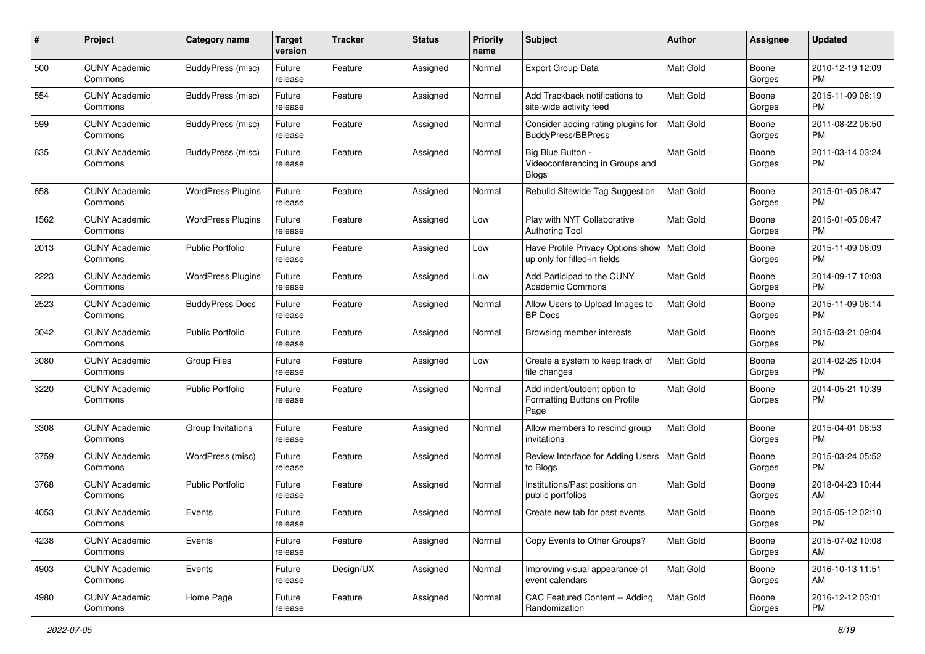| #    | Project                         | <b>Category name</b>     | <b>Target</b><br>version | <b>Tracker</b> | <b>Status</b> | <b>Priority</b><br>name | <b>Subject</b>                                                        | Author           | <b>Assignee</b> | <b>Updated</b>                |
|------|---------------------------------|--------------------------|--------------------------|----------------|---------------|-------------------------|-----------------------------------------------------------------------|------------------|-----------------|-------------------------------|
| 500  | <b>CUNY Academic</b><br>Commons | <b>BuddyPress (misc)</b> | Future<br>release        | Feature        | Assigned      | Normal                  | Export Group Data                                                     | Matt Gold        | Boone<br>Gorges | 2010-12-19 12:09<br>PM.       |
| 554  | <b>CUNY Academic</b><br>Commons | <b>BuddyPress</b> (misc) | Future<br>release        | Feature        | Assigned      | Normal                  | Add Trackback notifications to<br>site-wide activity feed             | Matt Gold        | Boone<br>Gorges | 2015-11-09 06:19<br><b>PM</b> |
| 599  | <b>CUNY Academic</b><br>Commons | <b>BuddyPress</b> (misc) | Future<br>release        | Feature        | Assigned      | Normal                  | Consider adding rating plugins for<br><b>BuddyPress/BBPress</b>       | Matt Gold        | Boone<br>Gorges | 2011-08-22 06:50<br><b>PM</b> |
| 635  | <b>CUNY Academic</b><br>Commons | <b>BuddyPress</b> (misc) | Future<br>release        | Feature        | Assigned      | Normal                  | Big Blue Button -<br>Videoconferencing in Groups and<br><b>Blogs</b>  | <b>Matt Gold</b> | Boone<br>Gorges | 2011-03-14 03:24<br><b>PM</b> |
| 658  | <b>CUNY Academic</b><br>Commons | <b>WordPress Plugins</b> | Future<br>release        | Feature        | Assigned      | Normal                  | Rebulid Sitewide Tag Suggestion                                       | <b>Matt Gold</b> | Boone<br>Gorges | 2015-01-05 08:47<br>PM.       |
| 1562 | <b>CUNY Academic</b><br>Commons | <b>WordPress Plugins</b> | Future<br>release        | Feature        | Assigned      | Low                     | Play with NYT Collaborative<br><b>Authoring Tool</b>                  | <b>Matt Gold</b> | Boone<br>Gorges | 2015-01-05 08:47<br><b>PM</b> |
| 2013 | <b>CUNY Academic</b><br>Commons | <b>Public Portfolio</b>  | Future<br>release        | Feature        | Assigned      | Low                     | Have Profile Privacy Options show<br>up only for filled-in fields     | Matt Gold        | Boone<br>Gorges | 2015-11-09 06:09<br><b>PM</b> |
| 2223 | <b>CUNY Academic</b><br>Commons | <b>WordPress Plugins</b> | Future<br>release        | Feature        | Assigned      | Low                     | Add Participad to the CUNY<br><b>Academic Commons</b>                 | <b>Matt Gold</b> | Boone<br>Gorges | 2014-09-17 10:03<br><b>PM</b> |
| 2523 | <b>CUNY Academic</b><br>Commons | <b>BuddyPress Docs</b>   | Future<br>release        | Feature        | Assigned      | Normal                  | Allow Users to Upload Images to<br><b>BP</b> Docs                     | <b>Matt Gold</b> | Boone<br>Gorges | 2015-11-09 06:14<br>PM.       |
| 3042 | <b>CUNY Academic</b><br>Commons | <b>Public Portfolio</b>  | Future<br>release        | Feature        | Assigned      | Normal                  | Browsing member interests                                             | <b>Matt Gold</b> | Boone<br>Gorges | 2015-03-21 09:04<br><b>PM</b> |
| 3080 | <b>CUNY Academic</b><br>Commons | Group Files              | Future<br>release        | Feature        | Assigned      | Low                     | Create a system to keep track of<br>file changes                      | Matt Gold        | Boone<br>Gorges | 2014-02-26 10:04<br><b>PM</b> |
| 3220 | <b>CUNY Academic</b><br>Commons | <b>Public Portfolio</b>  | Future<br>release        | Feature        | Assigned      | Normal                  | Add indent/outdent option to<br>Formatting Buttons on Profile<br>Page | Matt Gold        | Boone<br>Gorges | 2014-05-21 10:39<br><b>PM</b> |
| 3308 | <b>CUNY Academic</b><br>Commons | Group Invitations        | Future<br>release        | Feature        | Assigned      | Normal                  | Allow members to rescind group<br>invitations                         | Matt Gold        | Boone<br>Gorges | 2015-04-01 08:53<br>PM.       |
| 3759 | <b>CUNY Academic</b><br>Commons | WordPress (misc)         | Future<br>release        | Feature        | Assigned      | Normal                  | Review Interface for Adding Users<br>to Blogs                         | Matt Gold        | Boone<br>Gorges | 2015-03-24 05:52<br><b>PM</b> |
| 3768 | <b>CUNY Academic</b><br>Commons | <b>Public Portfolio</b>  | Future<br>release        | Feature        | Assigned      | Normal                  | Institutions/Past positions on<br>public portfolios                   | Matt Gold        | Boone<br>Gorges | 2018-04-23 10:44<br>AM        |
| 4053 | <b>CUNY Academic</b><br>Commons | Events                   | Future<br>reiease        | Feature        | Assigned      | Normal                  | Create new tab for past events                                        | <b>Matt Gold</b> | Boone<br>Gorges | 2015-05-12 02:10<br>PM        |
| 4238 | <b>CUNY Academic</b><br>Commons | Events                   | Future<br>release        | Feature        | Assigned      | Normal                  | Copy Events to Other Groups?                                          | Matt Gold        | Boone<br>Gorges | 2015-07-02 10:08<br>AM        |
| 4903 | <b>CUNY Academic</b><br>Commons | Events                   | Future<br>release        | Design/UX      | Assigned      | Normal                  | Improving visual appearance of<br>event calendars                     | Matt Gold        | Boone<br>Gorges | 2016-10-13 11:51<br>AM        |
| 4980 | <b>CUNY Academic</b><br>Commons | Home Page                | Future<br>release        | Feature        | Assigned      | Normal                  | CAC Featured Content -- Adding<br>Randomization                       | Matt Gold        | Boone<br>Gorges | 2016-12-12 03:01<br>PM        |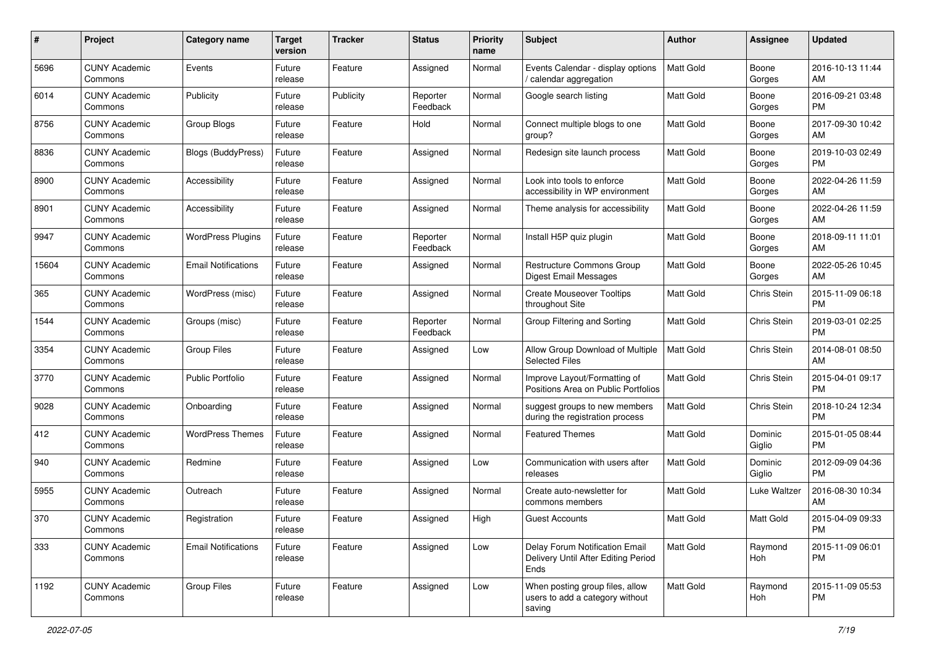| #     | Project                         | <b>Category name</b>       | <b>Target</b><br>version | <b>Tracker</b> | <b>Status</b>        | Priority<br>name | <b>Subject</b>                                                                | Author           | <b>Assignee</b>   | <b>Updated</b>                |
|-------|---------------------------------|----------------------------|--------------------------|----------------|----------------------|------------------|-------------------------------------------------------------------------------|------------------|-------------------|-------------------------------|
| 5696  | <b>CUNY Academic</b><br>Commons | Events                     | Future<br>release        | Feature        | Assigned             | Normal           | Events Calendar - display options<br>/ calendar aggregation                   | <b>Matt Gold</b> | Boone<br>Gorges   | 2016-10-13 11:44<br>AM        |
| 6014  | <b>CUNY Academic</b><br>Commons | Publicity                  | Future<br>release        | Publicity      | Reporter<br>Feedback | Normal           | Google search listing                                                         | <b>Matt Gold</b> | Boone<br>Gorges   | 2016-09-21 03:48<br><b>PM</b> |
| 8756  | <b>CUNY Academic</b><br>Commons | Group Blogs                | Future<br>release        | Feature        | Hold                 | Normal           | Connect multiple blogs to one<br>group?                                       | Matt Gold        | Boone<br>Gorges   | 2017-09-30 10:42<br>AM        |
| 8836  | <b>CUNY Academic</b><br>Commons | <b>Blogs (BuddyPress)</b>  | Future<br>release        | Feature        | Assigned             | Normal           | Redesign site launch process                                                  | Matt Gold        | Boone<br>Gorges   | 2019-10-03 02:49<br><b>PM</b> |
| 8900  | <b>CUNY Academic</b><br>Commons | Accessibility              | Future<br>release        | Feature        | Assigned             | Normal           | Look into tools to enforce<br>accessibility in WP environment                 | <b>Matt Gold</b> | Boone<br>Gorges   | 2022-04-26 11:59<br>AM        |
| 8901  | <b>CUNY Academic</b><br>Commons | Accessibility              | Future<br>release        | Feature        | Assigned             | Normal           | Theme analysis for accessibility                                              | Matt Gold        | Boone<br>Gorges   | 2022-04-26 11:59<br>AM        |
| 9947  | <b>CUNY Academic</b><br>Commons | <b>WordPress Plugins</b>   | Future<br>release        | Feature        | Reporter<br>Feedback | Normal           | Install H5P quiz plugin                                                       | Matt Gold        | Boone<br>Gorges   | 2018-09-11 11:01<br>AM        |
| 15604 | <b>CUNY Academic</b><br>Commons | <b>Email Notifications</b> | Future<br>release        | Feature        | Assigned             | Normal           | Restructure Commons Group<br>Digest Email Messages                            | <b>Matt Gold</b> | Boone<br>Gorges   | 2022-05-26 10:45<br>AM        |
| 365   | <b>CUNY Academic</b><br>Commons | WordPress (misc)           | Future<br>release        | Feature        | Assigned             | Normal           | <b>Create Mouseover Tooltips</b><br>throughout Site                           | <b>Matt Gold</b> | Chris Stein       | 2015-11-09 06:18<br><b>PM</b> |
| 1544  | <b>CUNY Academic</b><br>Commons | Groups (misc)              | Future<br>release        | Feature        | Reporter<br>Feedback | Normal           | Group Filtering and Sorting                                                   | Matt Gold        | Chris Stein       | 2019-03-01 02:25<br><b>PM</b> |
| 3354  | <b>CUNY Academic</b><br>Commons | <b>Group Files</b>         | Future<br>release        | Feature        | Assigned             | Low              | Allow Group Download of Multiple<br><b>Selected Files</b>                     | <b>Matt Gold</b> | Chris Stein       | 2014-08-01 08:50<br>AM        |
| 3770  | CUNY Academic<br>Commons        | <b>Public Portfolio</b>    | Future<br>release        | Feature        | Assigned             | Normal           | Improve Layout/Formatting of<br>Positions Area on Public Portfolios           | <b>Matt Gold</b> | Chris Stein       | 2015-04-01 09:17<br><b>PM</b> |
| 9028  | <b>CUNY Academic</b><br>Commons | Onboarding                 | Future<br>release        | Feature        | Assigned             | Normal           | suggest groups to new members<br>during the registration process              | <b>Matt Gold</b> | Chris Stein       | 2018-10-24 12:34<br><b>PM</b> |
| 412   | CUNY Academic<br>Commons        | <b>WordPress Themes</b>    | Future<br>release        | Feature        | Assigned             | Normal           | Featured Themes                                                               | Matt Gold        | Dominic<br>Giglio | 2015-01-05 08:44<br><b>PM</b> |
| 940   | <b>CUNY Academic</b><br>Commons | Redmine                    | Future<br>release        | Feature        | Assigned             | Low              | Communication with users after<br>releases                                    | Matt Gold        | Dominic<br>Giglio | 2012-09-09 04:36<br><b>PM</b> |
| 5955  | CUNY Academic<br>Commons        | Outreach                   | Future<br>release        | Feature        | Assigned             | Normal           | Create auto-newsletter for<br>commons members                                 | Matt Gold        | Luke Waltzer      | 2016-08-30 10:34<br>AM        |
| 370   | <b>CUNY Academic</b><br>Commons | Registration               | Future<br>release        | Feature        | Assigned             | High             | Guest Accounts                                                                | <b>Matt Gold</b> | <b>Matt Gold</b>  | 2015-04-09 09:33<br>PM        |
| 333   | <b>CUNY Academic</b><br>Commons | <b>Email Notifications</b> | Future<br>release        | Feature        | Assigned             | Low              | Delay Forum Notification Email<br>Delivery Until After Editing Period<br>Ends | Matt Gold        | Raymond<br>Hoh    | 2015-11-09 06:01<br><b>PM</b> |
| 1192  | <b>CUNY Academic</b><br>Commons | <b>Group Files</b>         | Future<br>release        | Feature        | Assigned             | Low              | When posting group files, allow<br>users to add a category without<br>saving  | Matt Gold        | Raymond<br>Hoh    | 2015-11-09 05:53<br><b>PM</b> |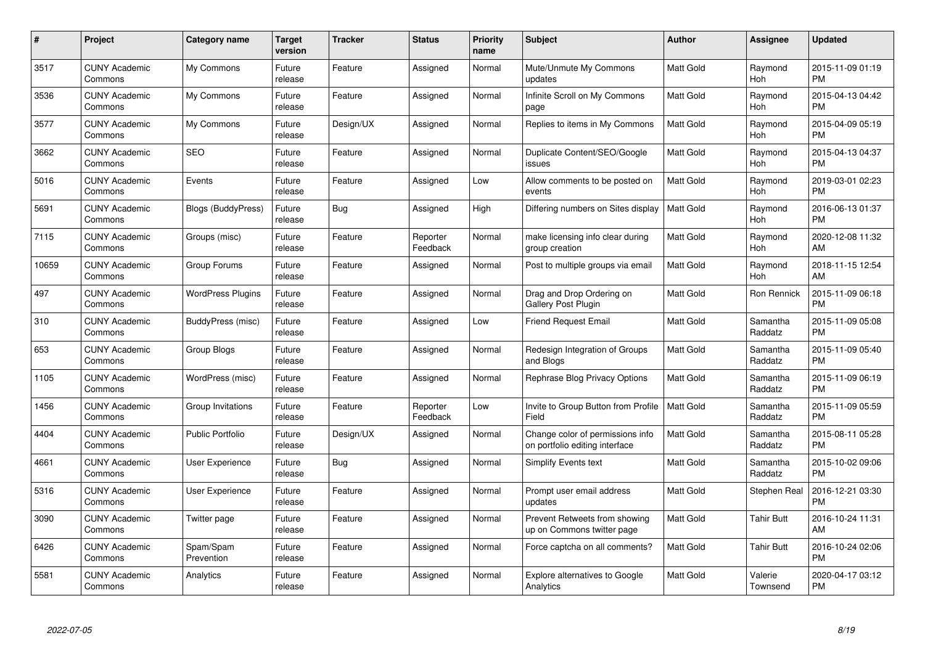| $\#$  | Project                         | <b>Category name</b>      | <b>Target</b><br>version | <b>Tracker</b> | <b>Status</b>        | Priority<br>name | <b>Subject</b>                                                     | <b>Author</b>    | <b>Assignee</b>     | <b>Updated</b>                |
|-------|---------------------------------|---------------------------|--------------------------|----------------|----------------------|------------------|--------------------------------------------------------------------|------------------|---------------------|-------------------------------|
| 3517  | <b>CUNY Academic</b><br>Commons | My Commons                | Future<br>release        | Feature        | Assigned             | Normal           | Mute/Unmute My Commons<br>updates                                  | <b>Matt Gold</b> | Raymond<br>Hoh      | 2015-11-09 01:19<br><b>PM</b> |
| 3536  | <b>CUNY Academic</b><br>Commons | My Commons                | Future<br>release        | Feature        | Assigned             | Normal           | Infinite Scroll on My Commons<br>page                              | <b>Matt Gold</b> | Raymond<br>Hoh      | 2015-04-13 04:42<br><b>PM</b> |
| 3577  | <b>CUNY Academic</b><br>Commons | My Commons                | Future<br>release        | Design/UX      | Assigned             | Normal           | Replies to items in My Commons                                     | Matt Gold        | Raymond<br>Hoh      | 2015-04-09 05:19<br><b>PM</b> |
| 3662  | <b>CUNY Academic</b><br>Commons | <b>SEO</b>                | Future<br>release        | Feature        | Assigned             | Normal           | Duplicate Content/SEO/Google<br>issues                             | <b>Matt Gold</b> | Raymond<br>Hoh      | 2015-04-13 04:37<br><b>PM</b> |
| 5016  | <b>CUNY Academic</b><br>Commons | Events                    | Future<br>release        | Feature        | Assigned             | Low              | Allow comments to be posted on<br>events                           | <b>Matt Gold</b> | Raymond<br>Hoh      | 2019-03-01 02:23<br><b>PM</b> |
| 5691  | <b>CUNY Academic</b><br>Commons | <b>Blogs (BuddyPress)</b> | Future<br>release        | Bug            | Assigned             | High             | Differing numbers on Sites display                                 | <b>Matt Gold</b> | Raymond<br>Hoh      | 2016-06-13 01:37<br><b>PM</b> |
| 7115  | <b>CUNY Academic</b><br>Commons | Groups (misc)             | Future<br>release        | Feature        | Reporter<br>Feedback | Normal           | make licensing info clear during<br>group creation                 | <b>Matt Gold</b> | Raymond<br>Hoh      | 2020-12-08 11:32<br>AM        |
| 10659 | <b>CUNY Academic</b><br>Commons | Group Forums              | Future<br>release        | Feature        | Assigned             | Normal           | Post to multiple groups via email                                  | <b>Matt Gold</b> | Raymond<br>Hoh      | 2018-11-15 12:54<br>AM        |
| 497   | <b>CUNY Academic</b><br>Commons | <b>WordPress Plugins</b>  | Future<br>release        | Feature        | Assigned             | Normal           | Drag and Drop Ordering on<br>Gallery Post Plugin                   | <b>Matt Gold</b> | Ron Rennick         | 2015-11-09 06:18<br><b>PM</b> |
| 310   | <b>CUNY Academic</b><br>Commons | BuddyPress (misc)         | Future<br>release        | Feature        | Assigned             | Low              | <b>Friend Request Email</b>                                        | <b>Matt Gold</b> | Samantha<br>Raddatz | 2015-11-09 05:08<br><b>PM</b> |
| 653   | <b>CUNY Academic</b><br>Commons | Group Blogs               | Future<br>release        | Feature        | Assigned             | Normal           | Redesign Integration of Groups<br>and Blogs                        | Matt Gold        | Samantha<br>Raddatz | 2015-11-09 05:40<br><b>PM</b> |
| 1105  | <b>CUNY Academic</b><br>Commons | WordPress (misc)          | Future<br>release        | Feature        | Assigned             | Normal           | Rephrase Blog Privacy Options                                      | Matt Gold        | Samantha<br>Raddatz | 2015-11-09 06:19<br><b>PM</b> |
| 1456  | <b>CUNY Academic</b><br>Commons | Group Invitations         | Future<br>release        | Feature        | Reporter<br>Feedback | Low              | Invite to Group Button from Profile<br>Field                       | <b>Matt Gold</b> | Samantha<br>Raddatz | 2015-11-09 05:59<br><b>PM</b> |
| 4404  | <b>CUNY Academic</b><br>Commons | <b>Public Portfolio</b>   | Future<br>release        | Design/UX      | Assigned             | Normal           | Change color of permissions info<br>on portfolio editing interface | <b>Matt Gold</b> | Samantha<br>Raddatz | 2015-08-11 05:28<br><b>PM</b> |
| 4661  | <b>CUNY Academic</b><br>Commons | <b>User Experience</b>    | Future<br>release        | Bug            | Assigned             | Normal           | Simplify Events text                                               | Matt Gold        | Samantha<br>Raddatz | 2015-10-02 09:06<br><b>PM</b> |
| 5316  | <b>CUNY Academic</b><br>Commons | <b>User Experience</b>    | Future<br>release        | Feature        | Assigned             | Normal           | Prompt user email address<br>updates                               | Matt Gold        | Stephen Real        | 2016-12-21 03:30<br><b>PM</b> |
| 3090  | <b>CUNY Academic</b><br>Commons | Twitter page              | Future<br>release        | Feature        | Assigned             | Normal           | Prevent Retweets from showing<br>up on Commons twitter page        | <b>Matt Gold</b> | <b>Tahir Butt</b>   | 2016-10-24 11:31<br>AM        |
| 6426  | <b>CUNY Academic</b><br>Commons | Spam/Spam<br>Prevention   | Future<br>release        | Feature        | Assigned             | Normal           | Force captcha on all comments?                                     | Matt Gold        | <b>Tahir Butt</b>   | 2016-10-24 02:06<br><b>PM</b> |
| 5581  | CUNY Academic<br>Commons        | Analytics                 | Future<br>release        | Feature        | Assigned             | Normal           | Explore alternatives to Google<br>Analytics                        | <b>Matt Gold</b> | Valerie<br>Townsend | 2020-04-17 03:12<br><b>PM</b> |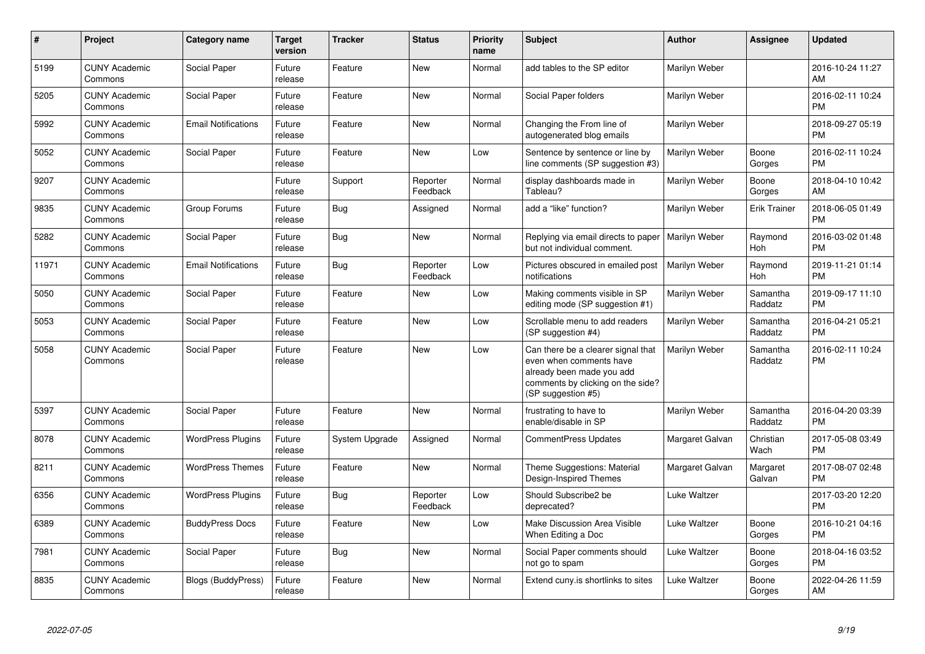| #     | Project                         | <b>Category name</b>       | Target<br>version | <b>Tracker</b> | <b>Status</b>        | <b>Priority</b><br>name | <b>Subject</b>                                                                                                                                        | <b>Author</b>   | Assignee            | <b>Updated</b>                |
|-------|---------------------------------|----------------------------|-------------------|----------------|----------------------|-------------------------|-------------------------------------------------------------------------------------------------------------------------------------------------------|-----------------|---------------------|-------------------------------|
| 5199  | <b>CUNY Academic</b><br>Commons | Social Paper               | Future<br>release | Feature        | <b>New</b>           | Normal                  | add tables to the SP editor                                                                                                                           | Marilyn Weber   |                     | 2016-10-24 11:27<br>AM        |
| 5205  | <b>CUNY Academic</b><br>Commons | Social Paper               | Future<br>release | Feature        | <b>New</b>           | Normal                  | Social Paper folders                                                                                                                                  | Marilyn Weber   |                     | 2016-02-11 10:24<br><b>PM</b> |
| 5992  | <b>CUNY Academic</b><br>Commons | <b>Email Notifications</b> | Future<br>release | Feature        | New                  | Normal                  | Changing the From line of<br>autogenerated blog emails                                                                                                | Marilyn Weber   |                     | 2018-09-27 05:19<br><b>PM</b> |
| 5052  | <b>CUNY Academic</b><br>Commons | Social Paper               | Future<br>release | Feature        | <b>New</b>           | Low                     | Sentence by sentence or line by<br>line comments (SP suggestion #3)                                                                                   | Marilyn Weber   | Boone<br>Gorges     | 2016-02-11 10:24<br><b>PM</b> |
| 9207  | <b>CUNY Academic</b><br>Commons |                            | Future<br>release | Support        | Reporter<br>Feedback | Normal                  | display dashboards made in<br>Tableau?                                                                                                                | Marilyn Weber   | Boone<br>Gorges     | 2018-04-10 10:42<br>AM        |
| 9835  | <b>CUNY Academic</b><br>Commons | Group Forums               | Future<br>release | Bug            | Assigned             | Normal                  | add a "like" function?                                                                                                                                | Marilyn Weber   | <b>Erik Trainer</b> | 2018-06-05 01:49<br><b>PM</b> |
| 5282  | <b>CUNY Academic</b><br>Commons | Social Paper               | Future<br>release | Bug            | <b>New</b>           | Normal                  | Replying via email directs to paper<br>but not individual comment.                                                                                    | Marilyn Weber   | Raymond<br>Hoh      | 2016-03-02 01:48<br><b>PM</b> |
| 11971 | <b>CUNY Academic</b><br>Commons | <b>Email Notifications</b> | Future<br>release | Bug            | Reporter<br>Feedback | Low                     | Pictures obscured in emailed post<br>notifications                                                                                                    | Marilyn Weber   | Raymond<br>Hoh      | 2019-11-21 01:14<br><b>PM</b> |
| 5050  | <b>CUNY Academic</b><br>Commons | Social Paper               | Future<br>release | Feature        | New                  | Low                     | Making comments visible in SP<br>editing mode (SP suggestion #1)                                                                                      | Marilyn Weber   | Samantha<br>Raddatz | 2019-09-17 11:10<br>PM        |
| 5053  | <b>CUNY Academic</b><br>Commons | Social Paper               | Future<br>release | Feature        | New                  | Low                     | Scrollable menu to add readers<br>(SP suggestion #4)                                                                                                  | Marilyn Weber   | Samantha<br>Raddatz | 2016-04-21 05:21<br><b>PM</b> |
| 5058  | <b>CUNY Academic</b><br>Commons | Social Paper               | Future<br>release | Feature        | <b>New</b>           | Low                     | Can there be a clearer signal that<br>even when comments have<br>already been made you add<br>comments by clicking on the side?<br>(SP suggestion #5) | Marilyn Weber   | Samantha<br>Raddatz | 2016-02-11 10:24<br><b>PM</b> |
| 5397  | <b>CUNY Academic</b><br>Commons | Social Paper               | Future<br>release | Feature        | <b>New</b>           | Normal                  | frustrating to have to<br>enable/disable in SP                                                                                                        | Marilyn Weber   | Samantha<br>Raddatz | 2016-04-20 03:39<br><b>PM</b> |
| 8078  | <b>CUNY Academic</b><br>Commons | <b>WordPress Plugins</b>   | Future<br>release | System Upgrade | Assigned             | Normal                  | CommentPress Updates                                                                                                                                  | Margaret Galvan | Christian<br>Wach   | 2017-05-08 03:49<br><b>PM</b> |
| 8211  | <b>CUNY Academic</b><br>Commons | <b>WordPress Themes</b>    | Future<br>release | Feature        | New                  | Normal                  | Theme Suggestions: Material<br>Design-Inspired Themes                                                                                                 | Margaret Galvan | Margaret<br>Galvan  | 2017-08-07 02:48<br><b>PM</b> |
| 6356  | <b>CUNY Academic</b><br>Commons | <b>WordPress Plugins</b>   | Future<br>release | Bug            | Reporter<br>Feedback | Low                     | Should Subscribe2 be<br>deprecated?                                                                                                                   | Luke Waltzer    |                     | 2017-03-20 12:20<br><b>PM</b> |
| 6389  | <b>CUNY Academic</b><br>Commons | <b>BuddyPress Docs</b>     | Future<br>release | Feature        | New                  | Low                     | Make Discussion Area Visible<br>When Editing a Doc                                                                                                    | Luke Waltzer    | Boone<br>Gorges     | 2016-10-21 04:16<br><b>PM</b> |
| 7981  | <b>CUNY Academic</b><br>Commons | Social Paper               | Future<br>release | Bug            | New                  | Normal                  | Social Paper comments should<br>not go to spam                                                                                                        | Luke Waltzer    | Boone<br>Gorges     | 2018-04-16 03:52<br>PM        |
| 8835  | <b>CUNY Academic</b><br>Commons | <b>Blogs (BuddyPress)</b>  | Future<br>release | Feature        | New                  | Normal                  | Extend cuny is shortlinks to sites                                                                                                                    | Luke Waltzer    | Boone<br>Gorges     | 2022-04-26 11:59<br>AM        |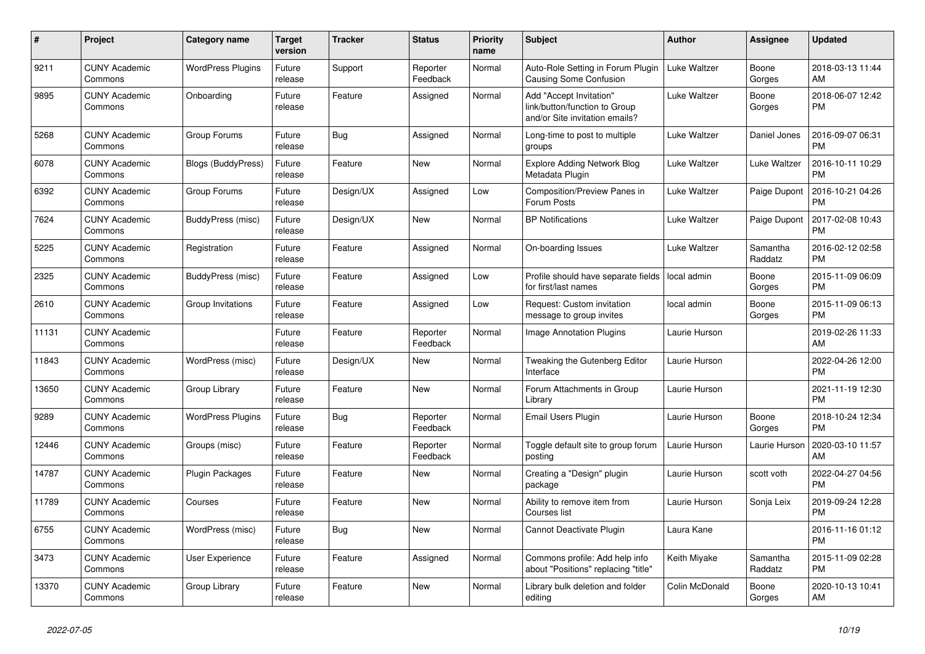| #     | <b>Project</b>                  | Category name             | <b>Target</b><br>version | <b>Tracker</b> | <b>Status</b>        | <b>Priority</b><br>name | <b>Subject</b>                                                                             | <b>Author</b>  | Assignee            | <b>Updated</b>                |
|-------|---------------------------------|---------------------------|--------------------------|----------------|----------------------|-------------------------|--------------------------------------------------------------------------------------------|----------------|---------------------|-------------------------------|
| 9211  | <b>CUNY Academic</b><br>Commons | <b>WordPress Plugins</b>  | Future<br>release        | Support        | Reporter<br>Feedback | Normal                  | Auto-Role Setting in Forum Plugin<br><b>Causing Some Confusion</b>                         | Luke Waltzer   | Boone<br>Gorges     | 2018-03-13 11:44<br>AM        |
| 9895  | <b>CUNY Academic</b><br>Commons | Onboarding                | Future<br>release        | Feature        | Assigned             | Normal                  | Add "Accept Invitation"<br>link/button/function to Group<br>and/or Site invitation emails? | Luke Waltzer   | Boone<br>Gorges     | 2018-06-07 12:42<br><b>PM</b> |
| 5268  | <b>CUNY Academic</b><br>Commons | Group Forums              | Future<br>release        | Bug            | Assigned             | Normal                  | Long-time to post to multiple<br>groups                                                    | Luke Waltzer   | Daniel Jones        | 2016-09-07 06:31<br><b>PM</b> |
| 6078  | <b>CUNY Academic</b><br>Commons | <b>Blogs (BuddyPress)</b> | Future<br>release        | Feature        | <b>New</b>           | Normal                  | <b>Explore Adding Network Blog</b><br>Metadata Plugin                                      | Luke Waltzer   | Luke Waltzer        | 2016-10-11 10:29<br><b>PM</b> |
| 6392  | <b>CUNY Academic</b><br>Commons | Group Forums              | Future<br>release        | Design/UX      | Assigned             | Low                     | Composition/Preview Panes in<br>Forum Posts                                                | Luke Waltzer   | Paige Dupont        | 2016-10-21 04:26<br><b>PM</b> |
| 7624  | <b>CUNY Academic</b><br>Commons | BuddyPress (misc)         | Future<br>release        | Design/UX      | New                  | Normal                  | <b>BP Notifications</b>                                                                    | Luke Waltzer   | Paige Dupont        | 2017-02-08 10:43<br><b>PM</b> |
| 5225  | <b>CUNY Academic</b><br>Commons | Registration              | Future<br>release        | Feature        | Assigned             | Normal                  | On-boarding Issues                                                                         | Luke Waltzer   | Samantha<br>Raddatz | 2016-02-12 02:58<br><b>PM</b> |
| 2325  | <b>CUNY Academic</b><br>Commons | BuddyPress (misc)         | Future<br>release        | Feature        | Assigned             | Low                     | Profile should have separate fields<br>for first/last names                                | local admin    | Boone<br>Gorges     | 2015-11-09 06:09<br><b>PM</b> |
| 2610  | <b>CUNY Academic</b><br>Commons | Group Invitations         | Future<br>release        | Feature        | Assigned             | Low                     | Request: Custom invitation<br>message to group invites                                     | local admin    | Boone<br>Gorges     | 2015-11-09 06:13<br><b>PM</b> |
| 11131 | <b>CUNY Academic</b><br>Commons |                           | Future<br>release        | Feature        | Reporter<br>Feedback | Normal                  | <b>Image Annotation Plugins</b>                                                            | Laurie Hurson  |                     | 2019-02-26 11:33<br>AM        |
| 11843 | <b>CUNY Academic</b><br>Commons | WordPress (misc)          | Future<br>release        | Design/UX      | New                  | Normal                  | Tweaking the Gutenberg Editor<br>Interface                                                 | Laurie Hurson  |                     | 2022-04-26 12:00<br><b>PM</b> |
| 13650 | <b>CUNY Academic</b><br>Commons | Group Library             | Future<br>release        | Feature        | New                  | Normal                  | Forum Attachments in Group<br>Library                                                      | Laurie Hurson  |                     | 2021-11-19 12:30<br><b>PM</b> |
| 9289  | <b>CUNY Academic</b><br>Commons | <b>WordPress Plugins</b>  | Future<br>release        | Bug            | Reporter<br>Feedback | Normal                  | Email Users Plugin                                                                         | Laurie Hurson  | Boone<br>Gorges     | 2018-10-24 12:34<br><b>PM</b> |
| 12446 | <b>CUNY Academic</b><br>Commons | Groups (misc)             | Future<br>release        | Feature        | Reporter<br>Feedback | Normal                  | Toggle default site to group forum<br>posting                                              | Laurie Hurson  | Laurie Hurson       | 2020-03-10 11:57<br>AM        |
| 14787 | <b>CUNY Academic</b><br>Commons | <b>Plugin Packages</b>    | Future<br>release        | Feature        | New                  | Normal                  | Creating a "Design" plugin<br>package                                                      | Laurie Hurson  | scott voth          | 2022-04-27 04:56<br><b>PM</b> |
| 11789 | <b>CUNY Academic</b><br>Commons | Courses                   | Future<br>release        | Feature        | <b>New</b>           | Normal                  | Ability to remove item from<br>Courses list                                                | Laurie Hurson  | Sonja Leix          | 2019-09-24 12:28<br><b>PM</b> |
| 6755  | <b>CUNY Academic</b><br>Commons | WordPress (misc)          | Future<br>release        | Bug            | <b>New</b>           | Normal                  | Cannot Deactivate Plugin                                                                   | Laura Kane     |                     | 2016-11-16 01:12<br><b>PM</b> |
| 3473  | <b>CUNY Academic</b><br>Commons | User Experience           | Future<br>release        | Feature        | Assigned             | Normal                  | Commons profile: Add help info<br>about "Positions" replacing "title"                      | Keith Miyake   | Samantha<br>Raddatz | 2015-11-09 02:28<br><b>PM</b> |
| 13370 | <b>CUNY Academic</b><br>Commons | Group Library             | Future<br>release        | Feature        | <b>New</b>           | Normal                  | Library bulk deletion and folder<br>editing                                                | Colin McDonald | Boone<br>Gorges     | 2020-10-13 10:41<br>AM        |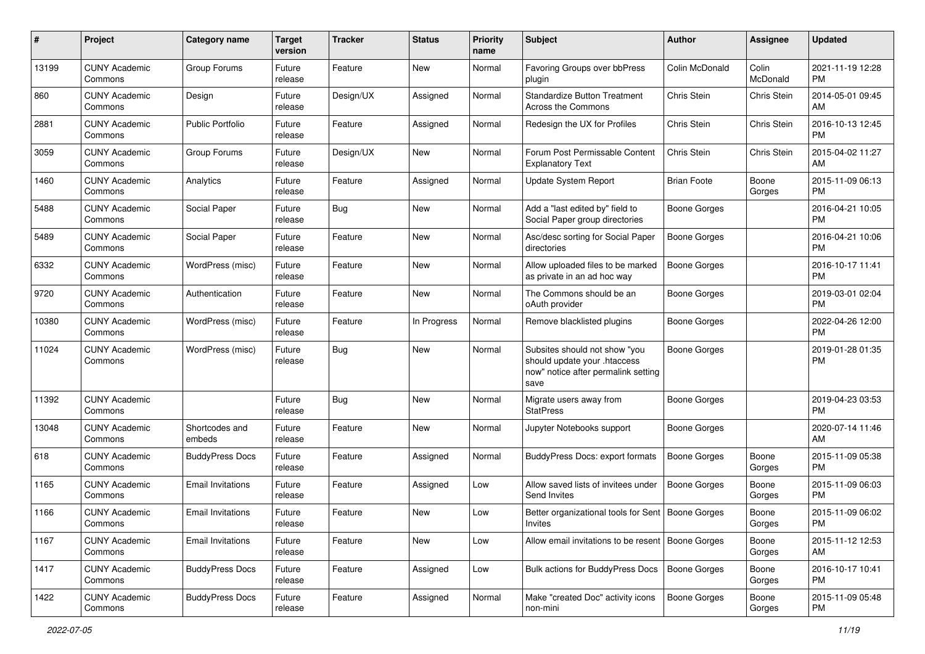| #     | Project                         | <b>Category name</b>     | <b>Target</b><br>version | <b>Tracker</b> | <b>Status</b> | <b>Priority</b><br>name | <b>Subject</b>                                                                                               | Author              | <b>Assignee</b>   | <b>Updated</b>                |
|-------|---------------------------------|--------------------------|--------------------------|----------------|---------------|-------------------------|--------------------------------------------------------------------------------------------------------------|---------------------|-------------------|-------------------------------|
| 13199 | <b>CUNY Academic</b><br>Commons | Group Forums             | Future<br>release        | Feature        | <b>New</b>    | Normal                  | Favoring Groups over bbPress<br>plugin                                                                       | Colin McDonald      | Colin<br>McDonald | 2021-11-19 12:28<br>PM.       |
| 860   | <b>CUNY Academic</b><br>Commons | Design                   | Future<br>release        | Design/UX      | Assigned      | Normal                  | <b>Standardize Button Treatment</b><br>Across the Commons                                                    | Chris Stein         | Chris Stein       | 2014-05-01 09:45<br>AM        |
| 2881  | <b>CUNY Academic</b><br>Commons | <b>Public Portfolio</b>  | Future<br>release        | Feature        | Assigned      | Normal                  | Redesign the UX for Profiles                                                                                 | Chris Stein         | Chris Stein       | 2016-10-13 12:45<br><b>PM</b> |
| 3059  | <b>CUNY Academic</b><br>Commons | Group Forums             | Future<br>release        | Design/UX      | New           | Normal                  | Forum Post Permissable Content<br><b>Explanatory Text</b>                                                    | Chris Stein         | Chris Stein       | 2015-04-02 11:27<br>AM        |
| 1460  | <b>CUNY Academic</b><br>Commons | Analytics                | Future<br>release        | Feature        | Assigned      | Normal                  | <b>Update System Report</b>                                                                                  | <b>Brian Foote</b>  | Boone<br>Gorges   | 2015-11-09 06:13<br><b>PM</b> |
| 5488  | <b>CUNY Academic</b><br>Commons | Social Paper             | Future<br>release        | Bug            | New           | Normal                  | Add a "last edited by" field to<br>Social Paper group directories                                            | Boone Gorges        |                   | 2016-04-21 10:05<br><b>PM</b> |
| 5489  | <b>CUNY Academic</b><br>Commons | Social Paper             | Future<br>release        | Feature        | New           | Normal                  | Asc/desc sorting for Social Paper<br>directories                                                             | <b>Boone Gorges</b> |                   | 2016-04-21 10:06<br><b>PM</b> |
| 6332  | <b>CUNY Academic</b><br>Commons | WordPress (misc)         | Future<br>release        | Feature        | New           | Normal                  | Allow uploaded files to be marked<br>as private in an ad hoc way                                             | <b>Boone Gorges</b> |                   | 2016-10-17 11:41<br>PM.       |
| 9720  | <b>CUNY Academic</b><br>Commons | Authentication           | Future<br>release        | Feature        | New           | Normal                  | The Commons should be an<br>oAuth provider                                                                   | <b>Boone Gorges</b> |                   | 2019-03-01 02:04<br><b>PM</b> |
| 10380 | <b>CUNY Academic</b><br>Commons | WordPress (misc)         | Future<br>release        | Feature        | In Progress   | Normal                  | Remove blacklisted plugins                                                                                   | Boone Gorges        |                   | 2022-04-26 12:00<br><b>PM</b> |
| 11024 | <b>CUNY Academic</b><br>Commons | WordPress (misc)         | Future<br>release        | Bug            | New           | Normal                  | Subsites should not show "you<br>should update your .htaccess<br>now" notice after permalink setting<br>save | <b>Boone Gorges</b> |                   | 2019-01-28 01:35<br><b>PM</b> |
| 11392 | <b>CUNY Academic</b><br>Commons |                          | Future<br>release        | Bug            | New           | Normal                  | Migrate users away from<br><b>StatPress</b>                                                                  | Boone Gorges        |                   | 2019-04-23 03:53<br><b>PM</b> |
| 13048 | <b>CUNY Academic</b><br>Commons | Shortcodes and<br>embeds | Future<br>release        | Feature        | <b>New</b>    | Normal                  | Jupyter Notebooks support                                                                                    | Boone Gorges        |                   | 2020-07-14 11:46<br>AM        |
| 618   | <b>CUNY Academic</b><br>Commons | <b>BuddyPress Docs</b>   | Future<br>release        | Feature        | Assigned      | Normal                  | BuddyPress Docs: export formats                                                                              | <b>Boone Gorges</b> | Boone<br>Gorges   | 2015-11-09 05:38<br><b>PM</b> |
| 1165  | <b>CUNY Academic</b><br>Commons | <b>Email Invitations</b> | Future<br>release        | Feature        | Assigned      | Low                     | Allow saved lists of invitees under<br>Send Invites                                                          | <b>Boone Gorges</b> | Boone<br>Gorges   | 2015-11-09 06:03<br><b>PM</b> |
| 1166  | <b>CUNY Academic</b><br>Commons | <b>Email Invitations</b> | Future<br>release        | Feature        | New           | Low                     | Better organizational tools for Sent   Boone Gorges<br>Invites                                               |                     | Boone<br>Gorges   | 2015-11-09 06:02<br><b>PM</b> |
| 1167  | <b>CUNY Academic</b><br>Commons | <b>Email Invitations</b> | Future<br>release        | Feature        | New           | Low                     | Allow email invitations to be resent   Boone Gorges                                                          |                     | Boone<br>Gorges   | 2015-11-12 12:53<br>AM        |
| 1417  | <b>CUNY Academic</b><br>Commons | <b>BuddyPress Docs</b>   | Future<br>release        | Feature        | Assigned      | Low                     | Bulk actions for BuddyPress Docs                                                                             | Boone Gorges        | Boone<br>Gorges   | 2016-10-17 10:41<br><b>PM</b> |
| 1422  | <b>CUNY Academic</b><br>Commons | <b>BuddyPress Docs</b>   | Future<br>release        | Feature        | Assigned      | Normal                  | Make "created Doc" activity icons<br>non-mini                                                                | <b>Boone Gorges</b> | Boone<br>Gorges   | 2015-11-09 05:48<br><b>PM</b> |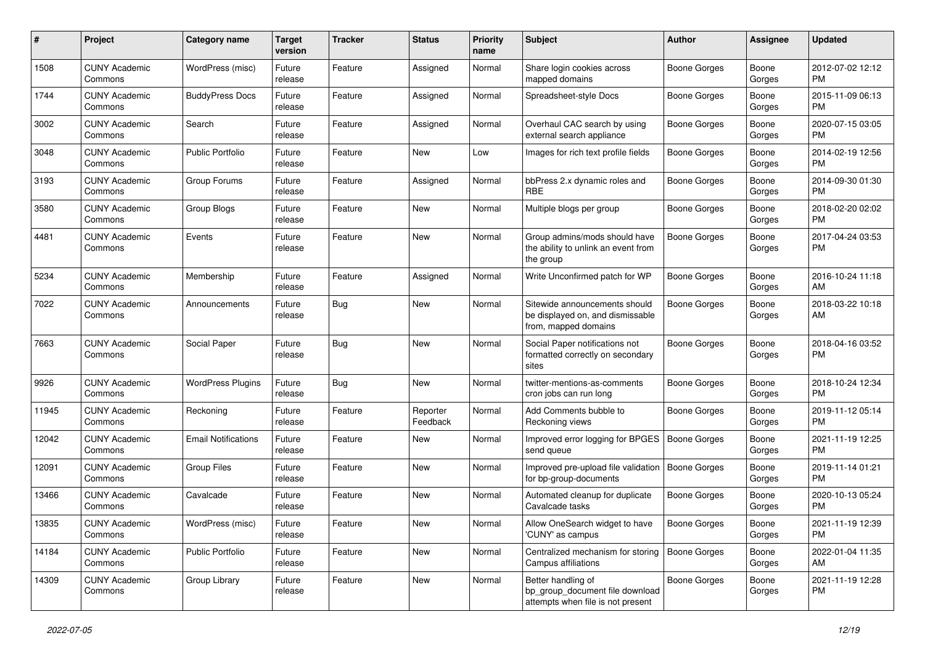| #     | Project                         | <b>Category name</b>       | <b>Target</b><br>version | <b>Tracker</b> | <b>Status</b>        | Priority<br>name | <b>Subject</b>                                                                             | Author              | <b>Assignee</b> | <b>Updated</b>                |
|-------|---------------------------------|----------------------------|--------------------------|----------------|----------------------|------------------|--------------------------------------------------------------------------------------------|---------------------|-----------------|-------------------------------|
| 1508  | <b>CUNY Academic</b><br>Commons | WordPress (misc)           | Future<br>release        | Feature        | Assigned             | Normal           | Share login cookies across<br>mapped domains                                               | <b>Boone Gorges</b> | Boone<br>Gorges | 2012-07-02 12:12<br><b>PM</b> |
| 1744  | <b>CUNY Academic</b><br>Commons | <b>BuddyPress Docs</b>     | Future<br>release        | Feature        | Assigned             | Normal           | Spreadsheet-style Docs                                                                     | <b>Boone Gorges</b> | Boone<br>Gorges | 2015-11-09 06:13<br><b>PM</b> |
| 3002  | <b>CUNY Academic</b><br>Commons | Search                     | Future<br>release        | Feature        | Assigned             | Normal           | Overhaul CAC search by using<br>external search appliance                                  | <b>Boone Gorges</b> | Boone<br>Gorges | 2020-07-15 03:05<br><b>PM</b> |
| 3048  | <b>CUNY Academic</b><br>Commons | <b>Public Portfolio</b>    | Future<br>release        | Feature        | New                  | Low              | Images for rich text profile fields                                                        | Boone Gorges        | Boone<br>Gorges | 2014-02-19 12:56<br><b>PM</b> |
| 3193  | <b>CUNY Academic</b><br>Commons | Group Forums               | Future<br>release        | Feature        | Assigned             | Normal           | bbPress 2.x dynamic roles and<br><b>RBE</b>                                                | Boone Gorges        | Boone<br>Gorges | 2014-09-30 01:30<br><b>PM</b> |
| 3580  | <b>CUNY Academic</b><br>Commons | Group Blogs                | Future<br>release        | Feature        | New                  | Normal           | Multiple blogs per group                                                                   | Boone Gorges        | Boone<br>Gorges | 2018-02-20 02:02<br><b>PM</b> |
| 4481  | <b>CUNY Academic</b><br>Commons | Events                     | Future<br>release        | Feature        | New                  | Normal           | Group admins/mods should have<br>the ability to unlink an event from<br>the group          | Boone Gorges        | Boone<br>Gorges | 2017-04-24 03:53<br><b>PM</b> |
| 5234  | <b>CUNY Academic</b><br>Commons | Membership                 | Future<br>release        | Feature        | Assigned             | Normal           | Write Unconfirmed patch for WP                                                             | <b>Boone Gorges</b> | Boone<br>Gorges | 2016-10-24 11:18<br>AM        |
| 7022  | <b>CUNY Academic</b><br>Commons | Announcements              | Future<br>release        | Bug            | <b>New</b>           | Normal           | Sitewide announcements should<br>be displayed on, and dismissable<br>from, mapped domains  | <b>Boone Gorges</b> | Boone<br>Gorges | 2018-03-22 10:18<br>AM        |
| 7663  | <b>CUNY Academic</b><br>Commons | Social Paper               | Future<br>release        | Bug            | New                  | Normal           | Social Paper notifications not<br>formatted correctly on secondary<br>sites                | Boone Gorges        | Boone<br>Gorges | 2018-04-16 03:52<br>PM        |
| 9926  | <b>CUNY Academic</b><br>Commons | <b>WordPress Plugins</b>   | Future<br>release        | Bug            | New                  | Normal           | twitter-mentions-as-comments<br>cron jobs can run long                                     | Boone Gorges        | Boone<br>Gorges | 2018-10-24 12:34<br><b>PM</b> |
| 11945 | <b>CUNY Academic</b><br>Commons | Reckoning                  | Future<br>release        | Feature        | Reporter<br>Feedback | Normal           | Add Comments bubble to<br>Reckoning views                                                  | <b>Boone Gorges</b> | Boone<br>Gorges | 2019-11-12 05:14<br><b>PM</b> |
| 12042 | <b>CUNY Academic</b><br>Commons | <b>Email Notifications</b> | Future<br>release        | Feature        | New                  | Normal           | Improved error logging for BPGES<br>send queue                                             | <b>Boone Gorges</b> | Boone<br>Gorges | 2021-11-19 12:25<br><b>PM</b> |
| 12091 | <b>CUNY Academic</b><br>Commons | <b>Group Files</b>         | Future<br>release        | Feature        | <b>New</b>           | Normal           | Improved pre-upload file validation<br>for bp-group-documents                              | <b>Boone Gorges</b> | Boone<br>Gorges | 2019-11-14 01:21<br><b>PM</b> |
| 13466 | <b>CUNY Academic</b><br>Commons | Cavalcade                  | Future<br>release        | Feature        | <b>New</b>           | Normal           | Automated cleanup for duplicate<br>Cavalcade tasks                                         | Boone Gorges        | Boone<br>Gorges | 2020-10-13 05:24<br><b>PM</b> |
| 13835 | <b>CUNY Academic</b><br>Commons | WordPress (misc)           | Future<br>release        | Feature        | New                  | Normal           | Allow OneSearch widget to have<br>'CUNY' as campus                                         | Boone Gorges        | Boone<br>Gorges | 2021-11-19 12:39<br><b>PM</b> |
| 14184 | <b>CUNY Academic</b><br>Commons | Public Portfolio           | Future<br>release        | Feature        | New                  | Normal           | Centralized mechanism for storing<br>Campus affiliations                                   | Boone Gorges        | Boone<br>Gorges | 2022-01-04 11:35<br>AM        |
| 14309 | <b>CUNY Academic</b><br>Commons | Group Library              | Future<br>release        | Feature        | New                  | Normal           | Better handling of<br>bp group document file download<br>attempts when file is not present | <b>Boone Gorges</b> | Boone<br>Gorges | 2021-11-19 12:28<br>PM.       |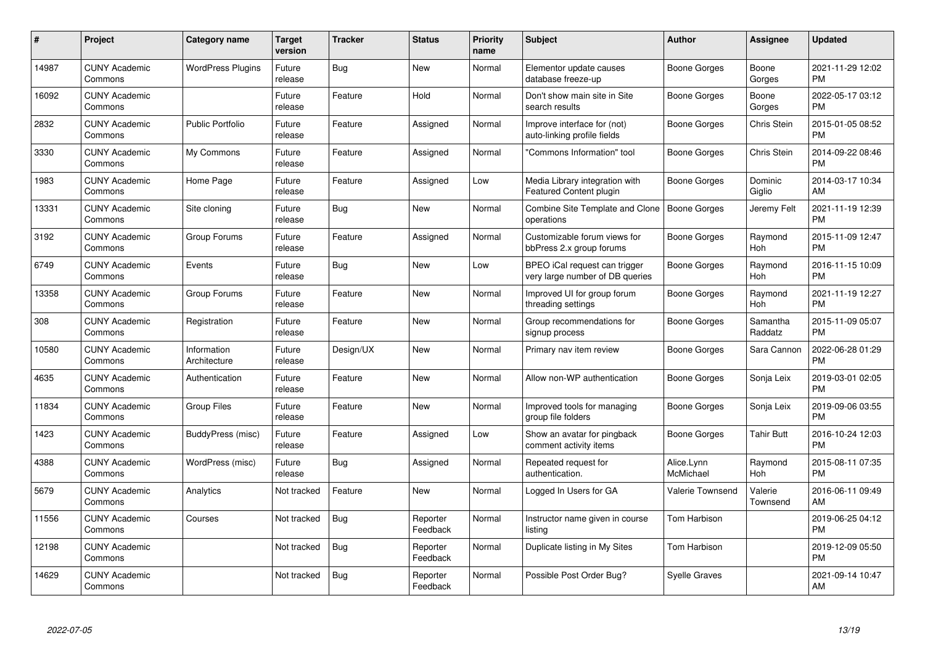| #     | <b>Project</b>                  | Category name               | <b>Target</b><br>version | <b>Tracker</b> | <b>Status</b>        | <b>Priority</b><br>name | <b>Subject</b>                                                   | <b>Author</b>           | Assignee              | <b>Updated</b>                |
|-------|---------------------------------|-----------------------------|--------------------------|----------------|----------------------|-------------------------|------------------------------------------------------------------|-------------------------|-----------------------|-------------------------------|
| 14987 | <b>CUNY Academic</b><br>Commons | <b>WordPress Plugins</b>    | Future<br>release        | Bug            | <b>New</b>           | Normal                  | Elementor update causes<br>database freeze-up                    | Boone Gorges            | Boone<br>Gorges       | 2021-11-29 12:02<br><b>PM</b> |
| 16092 | <b>CUNY Academic</b><br>Commons |                             | Future<br>release        | Feature        | Hold                 | Normal                  | Don't show main site in Site<br>search results                   | Boone Gorges            | Boone<br>Gorges       | 2022-05-17 03:12<br><b>PM</b> |
| 2832  | <b>CUNY Academic</b><br>Commons | <b>Public Portfolio</b>     | Future<br>release        | Feature        | Assigned             | Normal                  | Improve interface for (not)<br>auto-linking profile fields       | Boone Gorges            | Chris Stein           | 2015-01-05 08:52<br><b>PM</b> |
| 3330  | <b>CUNY Academic</b><br>Commons | My Commons                  | Future<br>release        | Feature        | Assigned             | Normal                  | "Commons Information" tool                                       | Boone Gorges            | Chris Stein           | 2014-09-22 08:46<br><b>PM</b> |
| 1983  | <b>CUNY Academic</b><br>Commons | Home Page                   | Future<br>release        | Feature        | Assigned             | Low                     | Media Library integration with<br>Featured Content plugin        | Boone Gorges            | Dominic<br>Giglio     | 2014-03-17 10:34<br>AM        |
| 13331 | <b>CUNY Academic</b><br>Commons | Site cloning                | Future<br>release        | Bug            | <b>New</b>           | Normal                  | Combine Site Template and Clone   Boone Gorges<br>operations     |                         | Jeremy Felt           | 2021-11-19 12:39<br><b>PM</b> |
| 3192  | <b>CUNY Academic</b><br>Commons | Group Forums                | Future<br>release        | Feature        | Assigned             | Normal                  | Customizable forum views for<br>bbPress 2.x group forums         | Boone Gorges            | Raymond<br>Hoh        | 2015-11-09 12:47<br><b>PM</b> |
| 6749  | <b>CUNY Academic</b><br>Commons | Events                      | Future<br>release        | Bug            | <b>New</b>           | Low                     | BPEO iCal request can trigger<br>very large number of DB queries | Boone Gorges            | Raymond<br><b>Hoh</b> | 2016-11-15 10:09<br><b>PM</b> |
| 13358 | <b>CUNY Academic</b><br>Commons | Group Forums                | Future<br>release        | Feature        | <b>New</b>           | Normal                  | Improved UI for group forum<br>threading settings                | Boone Gorges            | Raymond<br>Hoh        | 2021-11-19 12:27<br><b>PM</b> |
| 308   | <b>CUNY Academic</b><br>Commons | Registration                | Future<br>release        | Feature        | <b>New</b>           | Normal                  | Group recommendations for<br>signup process                      | Boone Gorges            | Samantha<br>Raddatz   | 2015-11-09 05:07<br><b>PM</b> |
| 10580 | <b>CUNY Academic</b><br>Commons | Information<br>Architecture | Future<br>release        | Design/UX      | <b>New</b>           | Normal                  | Primary nav item review                                          | Boone Gorges            | Sara Cannon           | 2022-06-28 01:29<br><b>PM</b> |
| 4635  | <b>CUNY Academic</b><br>Commons | Authentication              | Future<br>release        | Feature        | <b>New</b>           | Normal                  | Allow non-WP authentication                                      | Boone Gorges            | Sonja Leix            | 2019-03-01 02:05<br><b>PM</b> |
| 11834 | <b>CUNY Academic</b><br>Commons | <b>Group Files</b>          | Future<br>release        | Feature        | <b>New</b>           | Normal                  | Improved tools for managing<br>group file folders                | Boone Gorges            | Sonja Leix            | 2019-09-06 03:55<br><b>PM</b> |
| 1423  | <b>CUNY Academic</b><br>Commons | BuddyPress (misc)           | Future<br>release        | Feature        | Assigned             | Low                     | Show an avatar for pingback<br>comment activity items            | Boone Gorges            | <b>Tahir Butt</b>     | 2016-10-24 12:03<br><b>PM</b> |
| 4388  | <b>CUNY Academic</b><br>Commons | WordPress (misc)            | Future<br>release        | <b>Bug</b>     | Assigned             | Normal                  | Repeated request for<br>authentication.                          | Alice.Lynn<br>McMichael | Raymond<br>Hoh        | 2015-08-11 07:35<br><b>PM</b> |
| 5679  | <b>CUNY Academic</b><br>Commons | Analytics                   | Not tracked              | Feature        | <b>New</b>           | Normal                  | Logged In Users for GA                                           | <b>Valerie Townsend</b> | Valerie<br>Townsend   | 2016-06-11 09:49<br>AM        |
| 11556 | <b>CUNY Academic</b><br>Commons | Courses                     | Not tracked              | Bug            | Reporter<br>Feedback | Normal                  | Instructor name given in course<br>listing                       | Tom Harbison            |                       | 2019-06-25 04:12<br><b>PM</b> |
| 12198 | <b>CUNY Academic</b><br>Commons |                             | Not tracked              | <b>Bug</b>     | Reporter<br>Feedback | Normal                  | Duplicate listing in My Sites                                    | Tom Harbison            |                       | 2019-12-09 05:50<br><b>PM</b> |
| 14629 | <b>CUNY Academic</b><br>Commons |                             | Not tracked              | <b>Bug</b>     | Reporter<br>Feedback | Normal                  | Possible Post Order Bug?                                         | <b>Syelle Graves</b>    |                       | 2021-09-14 10:47<br>AM        |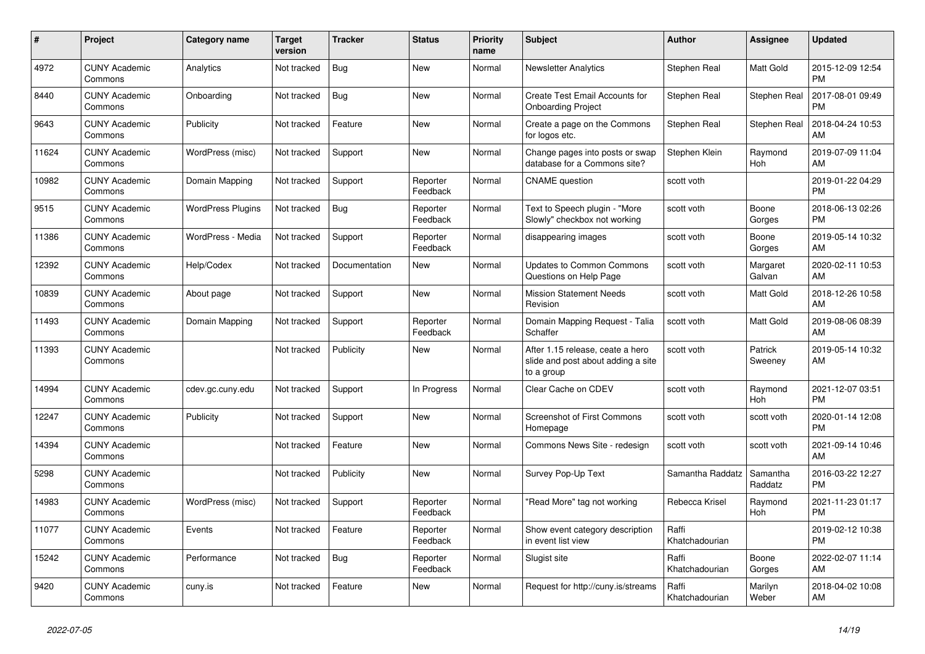| #     | <b>Project</b>                  | Category name            | <b>Target</b><br>version | <b>Tracker</b> | <b>Status</b>        | Priority<br>name | <b>Subject</b>                                                                       | <b>Author</b>           | Assignee            | <b>Updated</b>                |
|-------|---------------------------------|--------------------------|--------------------------|----------------|----------------------|------------------|--------------------------------------------------------------------------------------|-------------------------|---------------------|-------------------------------|
| 4972  | <b>CUNY Academic</b><br>Commons | Analytics                | Not tracked              | <b>Bug</b>     | New                  | Normal           | <b>Newsletter Analytics</b>                                                          | Stephen Real            | Matt Gold           | 2015-12-09 12:54<br><b>PM</b> |
| 8440  | <b>CUNY Academic</b><br>Commons | Onboarding               | Not tracked              | <b>Bug</b>     | New                  | Normal           | Create Test Email Accounts for<br><b>Onboarding Project</b>                          | Stephen Real            | Stephen Real        | 2017-08-01 09:49<br><b>PM</b> |
| 9643  | <b>CUNY Academic</b><br>Commons | Publicity                | Not tracked              | Feature        | New                  | Normal           | Create a page on the Commons<br>for logos etc.                                       | Stephen Real            | Stephen Real        | 2018-04-24 10:53<br>AM        |
| 11624 | <b>CUNY Academic</b><br>Commons | WordPress (misc)         | Not tracked              | Support        | <b>New</b>           | Normal           | Change pages into posts or swap<br>database for a Commons site?                      | Stephen Klein           | Raymond<br>Hoh      | 2019-07-09 11:04<br>AM        |
| 10982 | <b>CUNY Academic</b><br>Commons | Domain Mapping           | Not tracked              | Support        | Reporter<br>Feedback | Normal           | <b>CNAME</b> question                                                                | scott voth              |                     | 2019-01-22 04:29<br><b>PM</b> |
| 9515  | <b>CUNY Academic</b><br>Commons | <b>WordPress Plugins</b> | Not tracked              | Bug            | Reporter<br>Feedback | Normal           | Text to Speech plugin - "More<br>Slowly" checkbox not working                        | scott voth              | Boone<br>Gorges     | 2018-06-13 02:26<br><b>PM</b> |
| 11386 | <b>CUNY Academic</b><br>Commons | WordPress - Media        | Not tracked              | Support        | Reporter<br>Feedback | Normal           | disappearing images                                                                  | scott voth              | Boone<br>Gorges     | 2019-05-14 10:32<br>AM        |
| 12392 | <b>CUNY Academic</b><br>Commons | Help/Codex               | Not tracked              | Documentation  | <b>New</b>           | Normal           | <b>Updates to Common Commons</b><br>Questions on Help Page                           | scott voth              | Margaret<br>Galvan  | 2020-02-11 10:53<br>AM        |
| 10839 | <b>CUNY Academic</b><br>Commons | About page               | Not tracked              | Support        | New                  | Normal           | <b>Mission Statement Needs</b><br>Revision                                           | scott voth              | Matt Gold           | 2018-12-26 10:58<br>AM        |
| 11493 | <b>CUNY Academic</b><br>Commons | Domain Mapping           | Not tracked              | Support        | Reporter<br>Feedback | Normal           | Domain Mapping Request - Talia<br>Schaffer                                           | scott voth              | Matt Gold           | 2019-08-06 08:39<br>AM        |
| 11393 | <b>CUNY Academic</b><br>Commons |                          | Not tracked              | Publicity      | <b>New</b>           | Normal           | After 1.15 release, ceate a hero<br>slide and post about adding a site<br>to a group | scott voth              | Patrick<br>Sweeney  | 2019-05-14 10:32<br>AM        |
| 14994 | <b>CUNY Academic</b><br>Commons | cdev.gc.cuny.edu         | Not tracked              | Support        | In Progress          | Normal           | Clear Cache on CDEV                                                                  | scott voth              | Raymond<br>Hoh      | 2021-12-07 03:51<br><b>PM</b> |
| 12247 | <b>CUNY Academic</b><br>Commons | Publicity                | Not tracked              | Support        | <b>New</b>           | Normal           | Screenshot of First Commons<br>Homepage                                              | scott voth              | scott voth          | 2020-01-14 12:08<br><b>PM</b> |
| 14394 | <b>CUNY Academic</b><br>Commons |                          | Not tracked              | Feature        | New                  | Normal           | Commons News Site - redesign                                                         | scott voth              | scott voth          | 2021-09-14 10:46<br>AM        |
| 5298  | <b>CUNY Academic</b><br>Commons |                          | Not tracked              | Publicity      | New                  | Normal           | Survey Pop-Up Text                                                                   | Samantha Raddatz        | Samantha<br>Raddatz | 2016-03-22 12:27<br><b>PM</b> |
| 14983 | <b>CUNY Academic</b><br>Commons | WordPress (misc)         | Not tracked              | Support        | Reporter<br>Feedback | Normal           | "Read More" tag not working                                                          | Rebecca Krisel          | Raymond<br>Hoh      | 2021-11-23 01:17<br><b>PM</b> |
| 11077 | <b>CUNY Academic</b><br>Commons | Events                   | Not tracked              | Feature        | Reporter<br>Feedback | Normal           | Show event category description<br>in event list view                                | Raffi<br>Khatchadourian |                     | 2019-02-12 10:38<br><b>PM</b> |
| 15242 | <b>CUNY Academic</b><br>Commons | Performance              | Not tracked              | <b>Bug</b>     | Reporter<br>Feedback | Normal           | Slugist site                                                                         | Raffi<br>Khatchadourian | Boone<br>Gorges     | 2022-02-07 11:14<br>AM        |
| 9420  | <b>CUNY Academic</b><br>Commons | cuny.is                  | Not tracked              | Feature        | <b>New</b>           | Normal           | Request for http://cuny.is/streams                                                   | Raffi<br>Khatchadourian | Marilyn<br>Weber    | 2018-04-02 10:08<br>AM        |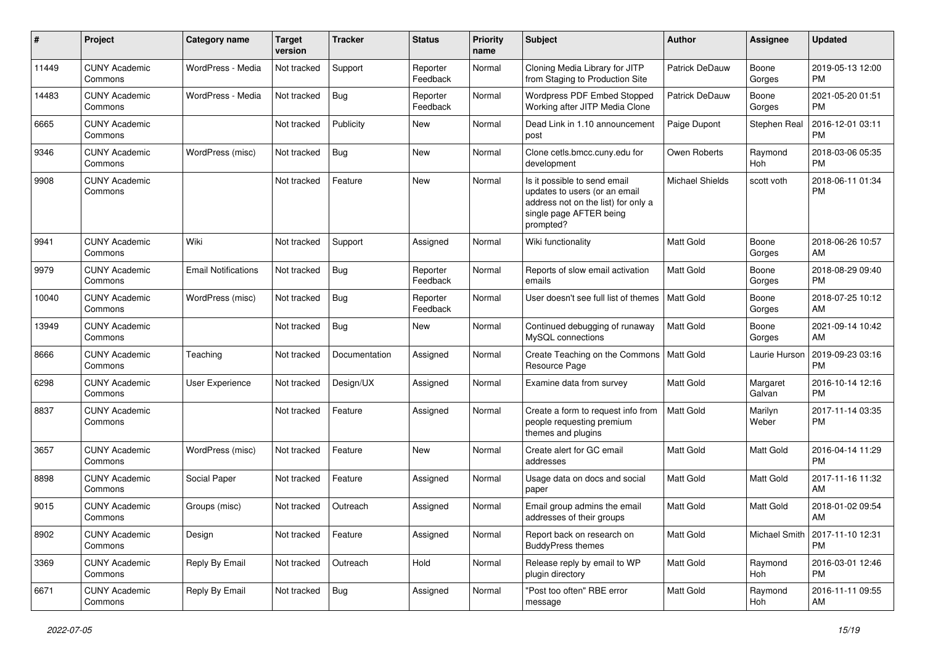| ∦     | Project                         | Category name              | <b>Target</b><br>version | <b>Tracker</b> | <b>Status</b>        | <b>Priority</b><br>name | Subject                                                                                                                                      | Author                 | <b>Assignee</b>    | <b>Updated</b>                |
|-------|---------------------------------|----------------------------|--------------------------|----------------|----------------------|-------------------------|----------------------------------------------------------------------------------------------------------------------------------------------|------------------------|--------------------|-------------------------------|
| 11449 | <b>CUNY Academic</b><br>Commons | WordPress - Media          | Not tracked              | Support        | Reporter<br>Feedback | Normal                  | Cloning Media Library for JITP<br>from Staging to Production Site                                                                            | Patrick DeDauw         | Boone<br>Gorges    | 2019-05-13 12:00<br><b>PM</b> |
| 14483 | <b>CUNY Academic</b><br>Commons | WordPress - Media          | Not tracked              | Bug            | Reporter<br>Feedback | Normal                  | Wordpress PDF Embed Stopped<br>Working after JITP Media Clone                                                                                | Patrick DeDauw         | Boone<br>Gorges    | 2021-05-20 01:51<br><b>PM</b> |
| 6665  | <b>CUNY Academic</b><br>Commons |                            | Not tracked              | Publicity      | New                  | Normal                  | Dead Link in 1.10 announcement<br>post                                                                                                       | Paige Dupont           | Stephen Real       | 2016-12-01 03:11<br><b>PM</b> |
| 9346  | <b>CUNY Academic</b><br>Commons | WordPress (misc)           | Not tracked              | <b>Bug</b>     | <b>New</b>           | Normal                  | Clone cetls.bmcc.cuny.edu for<br>development                                                                                                 | Owen Roberts           | Raymond<br>Hoh     | 2018-03-06 05:35<br><b>PM</b> |
| 9908  | <b>CUNY Academic</b><br>Commons |                            | Not tracked              | Feature        | <b>New</b>           | Normal                  | Is it possible to send email<br>updates to users (or an email<br>address not on the list) for only a<br>single page AFTER being<br>prompted? | <b>Michael Shields</b> | scott voth         | 2018-06-11 01:34<br><b>PM</b> |
| 9941  | <b>CUNY Academic</b><br>Commons | Wiki                       | Not tracked              | Support        | Assigned             | Normal                  | Wiki functionality                                                                                                                           | Matt Gold              | Boone<br>Gorges    | 2018-06-26 10:57<br>AM        |
| 9979  | <b>CUNY Academic</b><br>Commons | <b>Email Notifications</b> | Not tracked              | <b>Bug</b>     | Reporter<br>Feedback | Normal                  | Reports of slow email activation<br>emails                                                                                                   | <b>Matt Gold</b>       | Boone<br>Gorges    | 2018-08-29 09:40<br><b>PM</b> |
| 10040 | <b>CUNY Academic</b><br>Commons | WordPress (misc)           | Not tracked              | Bug            | Reporter<br>Feedback | Normal                  | User doesn't see full list of themes                                                                                                         | Matt Gold              | Boone<br>Gorges    | 2018-07-25 10:12<br>AM        |
| 13949 | <b>CUNY Academic</b><br>Commons |                            | Not tracked              | Bug            | New                  | Normal                  | Continued debugging of runaway<br>MvSQL connections                                                                                          | Matt Gold              | Boone<br>Gorges    | 2021-09-14 10:42<br>AM        |
| 8666  | <b>CUNY Academic</b><br>Commons | Teaching                   | Not tracked              | Documentation  | Assigned             | Normal                  | Create Teaching on the Commons<br>Resource Page                                                                                              | <b>Matt Gold</b>       | Laurie Hurson      | 2019-09-23 03:16<br><b>PM</b> |
| 6298  | <b>CUNY Academic</b><br>Commons | <b>User Experience</b>     | Not tracked              | Design/UX      | Assigned             | Normal                  | Examine data from survey                                                                                                                     | <b>Matt Gold</b>       | Margaret<br>Galvan | 2016-10-14 12:16<br><b>PM</b> |
| 8837  | <b>CUNY Academic</b><br>Commons |                            | Not tracked              | Feature        | Assigned             | Normal                  | Create a form to request info from<br>people requesting premium<br>themes and plugins                                                        | <b>Matt Gold</b>       | Marilyn<br>Weber   | 2017-11-14 03:35<br><b>PM</b> |
| 3657  | <b>CUNY Academic</b><br>Commons | WordPress (misc)           | Not tracked              | Feature        | <b>New</b>           | Normal                  | Create alert for GC email<br>addresses                                                                                                       | Matt Gold              | Matt Gold          | 2016-04-14 11:29<br><b>PM</b> |
| 8898  | <b>CUNY Academic</b><br>Commons | Social Paper               | Not tracked              | Feature        | Assigned             | Normal                  | Usage data on docs and social<br>paper                                                                                                       | <b>Matt Gold</b>       | Matt Gold          | 2017-11-16 11:32<br>AM        |
| 9015  | <b>CUNY Academic</b><br>Commons | Groups (misc)              | Not tracked              | Outreach       | Assigned             | Normal                  | Email group admins the email<br>addresses of their groups                                                                                    | <b>Matt Gold</b>       | Matt Gold          | 2018-01-02 09:54<br>AM        |
| 8902  | <b>CUNY Academic</b><br>Commons | Design                     | Not tracked              | Feature        | Assigned             | Normal                  | Report back on research on<br><b>BuddyPress themes</b>                                                                                       | Matt Gold              | Michael Smith      | 2017-11-10 12:31<br><b>PM</b> |
| 3369  | <b>CUNY Academic</b><br>Commons | Reply By Email             | Not tracked              | Outreach       | Hold                 | Normal                  | Release reply by email to WP<br>plugin directory                                                                                             | Matt Gold              | Raymond<br>Hoh     | 2016-03-01 12:46<br><b>PM</b> |
| 6671  | <b>CUNY Academic</b><br>Commons | Reply By Email             | Not tracked              | <b>Bug</b>     | Assigned             | Normal                  | "Post too often" RBE error<br>message                                                                                                        | Matt Gold              | Raymond<br>Hoh     | 2016-11-11 09:55<br>AM        |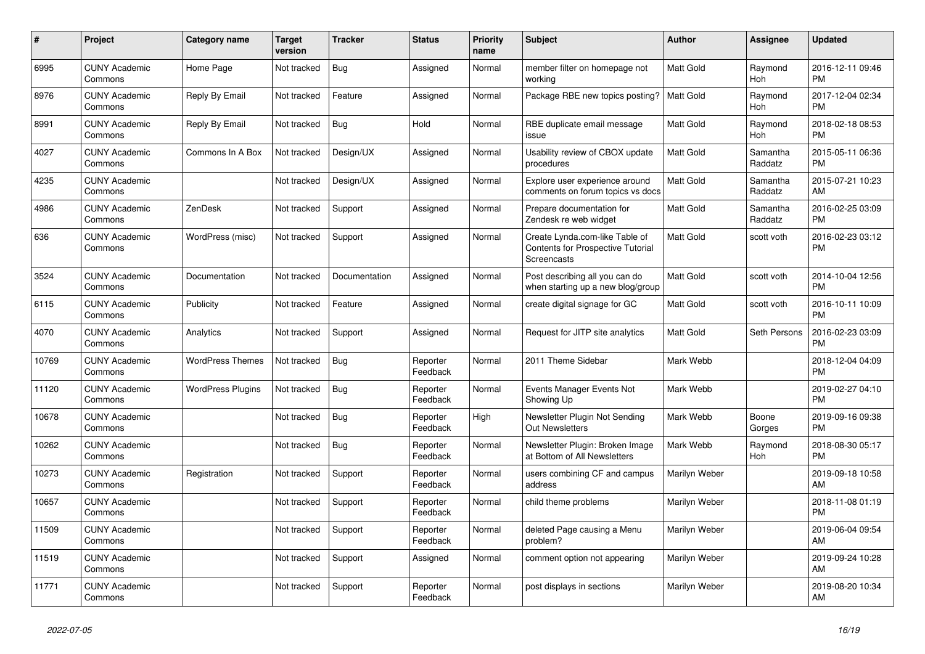| #     | <b>Project</b>                  | Category name            | <b>Target</b><br>version | <b>Tracker</b> | <b>Status</b>        | <b>Priority</b><br>name | <b>Subject</b>                                                                            | <b>Author</b>    | Assignee            | <b>Updated</b>                |
|-------|---------------------------------|--------------------------|--------------------------|----------------|----------------------|-------------------------|-------------------------------------------------------------------------------------------|------------------|---------------------|-------------------------------|
| 6995  | <b>CUNY Academic</b><br>Commons | Home Page                | Not tracked              | <b>Bug</b>     | Assigned             | Normal                  | member filter on homepage not<br>working                                                  | <b>Matt Gold</b> | Raymond<br>Hoh      | 2016-12-11 09:46<br><b>PM</b> |
| 8976  | <b>CUNY Academic</b><br>Commons | Reply By Email           | Not tracked              | Feature        | Assigned             | Normal                  | Package RBE new topics posting?                                                           | <b>Matt Gold</b> | Raymond<br>Hoh      | 2017-12-04 02:34<br><b>PM</b> |
| 8991  | <b>CUNY Academic</b><br>Commons | Reply By Email           | Not tracked              | Bug            | Hold                 | Normal                  | RBE duplicate email message<br>issue                                                      | <b>Matt Gold</b> | Raymond<br>Hoh      | 2018-02-18 08:53<br><b>PM</b> |
| 4027  | <b>CUNY Academic</b><br>Commons | Commons In A Box         | Not tracked              | Design/UX      | Assigned             | Normal                  | Usability review of CBOX update<br>procedures                                             | <b>Matt Gold</b> | Samantha<br>Raddatz | 2015-05-11 06:36<br><b>PM</b> |
| 4235  | <b>CUNY Academic</b><br>Commons |                          | Not tracked              | Design/UX      | Assigned             | Normal                  | Explore user experience around<br>comments on forum topics vs docs                        | <b>Matt Gold</b> | Samantha<br>Raddatz | 2015-07-21 10:23<br>AM        |
| 4986  | <b>CUNY Academic</b><br>Commons | ZenDesk                  | Not tracked              | Support        | Assigned             | Normal                  | Prepare documentation for<br>Zendesk re web widget                                        | Matt Gold        | Samantha<br>Raddatz | 2016-02-25 03:09<br><b>PM</b> |
| 636   | <b>CUNY Academic</b><br>Commons | WordPress (misc)         | Not tracked              | Support        | Assigned             | Normal                  | Create Lynda.com-like Table of<br><b>Contents for Prospective Tutorial</b><br>Screencasts | <b>Matt Gold</b> | scott voth          | 2016-02-23 03:12<br><b>PM</b> |
| 3524  | <b>CUNY Academic</b><br>Commons | Documentation            | Not tracked              | Documentation  | Assigned             | Normal                  | Post describing all you can do<br>when starting up a new blog/group                       | Matt Gold        | scott voth          | 2014-10-04 12:56<br><b>PM</b> |
| 6115  | <b>CUNY Academic</b><br>Commons | Publicity                | Not tracked              | Feature        | Assigned             | Normal                  | create digital signage for GC                                                             | <b>Matt Gold</b> | scott voth          | 2016-10-11 10:09<br><b>PM</b> |
| 4070  | <b>CUNY Academic</b><br>Commons | Analytics                | Not tracked              | Support        | Assigned             | Normal                  | Request for JITP site analytics                                                           | Matt Gold        | Seth Persons        | 2016-02-23 03:09<br><b>PM</b> |
| 10769 | <b>CUNY Academic</b><br>Commons | <b>WordPress Themes</b>  | Not tracked              | Bug            | Reporter<br>Feedback | Normal                  | 2011 Theme Sidebar                                                                        | Mark Webb        |                     | 2018-12-04 04:09<br><b>PM</b> |
| 11120 | <b>CUNY Academic</b><br>Commons | <b>WordPress Plugins</b> | Not tracked              | Bug            | Reporter<br>Feedback | Normal                  | Events Manager Events Not<br>Showing Up                                                   | Mark Webb        |                     | 2019-02-27 04:10<br><b>PM</b> |
| 10678 | <b>CUNY Academic</b><br>Commons |                          | Not tracked              | <b>Bug</b>     | Reporter<br>Feedback | High                    | Newsletter Plugin Not Sending<br><b>Out Newsletters</b>                                   | Mark Webb        | Boone<br>Gorges     | 2019-09-16 09:38<br><b>PM</b> |
| 10262 | <b>CUNY Academic</b><br>Commons |                          | Not tracked              | Bug            | Reporter<br>Feedback | Normal                  | Newsletter Plugin: Broken Image<br>at Bottom of All Newsletters                           | Mark Webb        | Raymond<br>Hoh      | 2018-08-30 05:17<br><b>PM</b> |
| 10273 | <b>CUNY Academic</b><br>Commons | Registration             | Not tracked              | Support        | Reporter<br>Feedback | Normal                  | users combining CF and campus<br>address                                                  | Marilyn Weber    |                     | 2019-09-18 10:58<br><b>AM</b> |
| 10657 | <b>CUNY Academic</b><br>Commons |                          | Not tracked              | Support        | Reporter<br>Feedback | Normal                  | child theme problems                                                                      | Marilyn Weber    |                     | 2018-11-08 01:19<br><b>PM</b> |
| 11509 | <b>CUNY Academic</b><br>Commons |                          | Not tracked              | Support        | Reporter<br>Feedback | Normal                  | deleted Page causing a Menu<br>problem?                                                   | Marilyn Weber    |                     | 2019-06-04 09:54<br>AM        |
| 11519 | <b>CUNY Academic</b><br>Commons |                          | Not tracked              | Support        | Assigned             | Normal                  | comment option not appearing                                                              | Marilyn Weber    |                     | 2019-09-24 10:28<br>AM        |
| 11771 | <b>CUNY Academic</b><br>Commons |                          | Not tracked              | Support        | Reporter<br>Feedback | Normal                  | post displays in sections                                                                 | Marilyn Weber    |                     | 2019-08-20 10:34<br>AM        |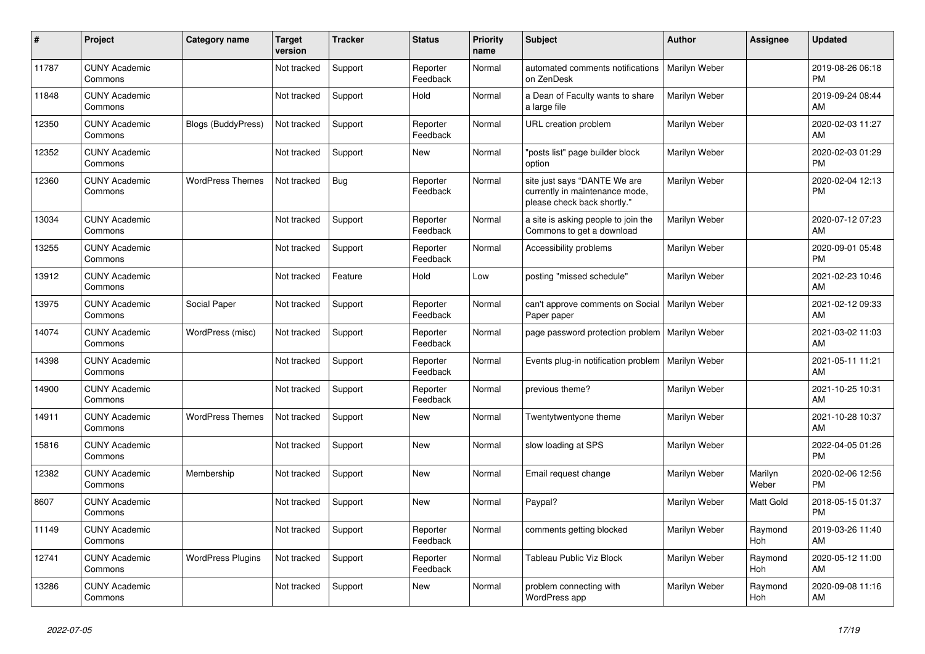| #     | Project                         | <b>Category name</b>      | <b>Target</b><br>version | <b>Tracker</b> | <b>Status</b>        | <b>Priority</b><br>name | <b>Subject</b>                                                                                | <b>Author</b> | Assignee         | <b>Updated</b>                |
|-------|---------------------------------|---------------------------|--------------------------|----------------|----------------------|-------------------------|-----------------------------------------------------------------------------------------------|---------------|------------------|-------------------------------|
| 11787 | <b>CUNY Academic</b><br>Commons |                           | Not tracked              | Support        | Reporter<br>Feedback | Normal                  | automated comments notifications<br>on ZenDesk                                                | Marilyn Weber |                  | 2019-08-26 06:18<br><b>PM</b> |
| 11848 | <b>CUNY Academic</b><br>Commons |                           | Not tracked              | Support        | Hold                 | Normal                  | a Dean of Faculty wants to share<br>a large file                                              | Marilyn Weber |                  | 2019-09-24 08:44<br>AM        |
| 12350 | <b>CUNY Academic</b><br>Commons | <b>Blogs (BuddyPress)</b> | Not tracked              | Support        | Reporter<br>Feedback | Normal                  | URL creation problem                                                                          | Marilyn Weber |                  | 2020-02-03 11:27<br>AM        |
| 12352 | <b>CUNY Academic</b><br>Commons |                           | Not tracked              | Support        | <b>New</b>           | Normal                  | "posts list" page builder block<br>option                                                     | Marilyn Weber |                  | 2020-02-03 01:29<br><b>PM</b> |
| 12360 | <b>CUNY Academic</b><br>Commons | <b>WordPress Themes</b>   | Not tracked              | Bug            | Reporter<br>Feedback | Normal                  | site just says "DANTE We are<br>currently in maintenance mode,<br>please check back shortly." | Marilyn Weber |                  | 2020-02-04 12:13<br><b>PM</b> |
| 13034 | <b>CUNY Academic</b><br>Commons |                           | Not tracked              | Support        | Reporter<br>Feedback | Normal                  | a site is asking people to join the<br>Commons to get a download                              | Marilyn Weber |                  | 2020-07-12 07:23<br>AM        |
| 13255 | <b>CUNY Academic</b><br>Commons |                           | Not tracked              | Support        | Reporter<br>Feedback | Normal                  | Accessibility problems                                                                        | Marilyn Weber |                  | 2020-09-01 05:48<br><b>PM</b> |
| 13912 | <b>CUNY Academic</b><br>Commons |                           | Not tracked              | Feature        | Hold                 | Low                     | posting "missed schedule"                                                                     | Marilyn Weber |                  | 2021-02-23 10:46<br>AM        |
| 13975 | <b>CUNY Academic</b><br>Commons | Social Paper              | Not tracked              | Support        | Reporter<br>Feedback | Normal                  | can't approve comments on Social<br>Paper paper                                               | Marilyn Weber |                  | 2021-02-12 09:33<br>AM        |
| 14074 | <b>CUNY Academic</b><br>Commons | WordPress (misc)          | Not tracked              | Support        | Reporter<br>Feedback | Normal                  | page password protection problem                                                              | Marilyn Weber |                  | 2021-03-02 11:03<br>AM        |
| 14398 | <b>CUNY Academic</b><br>Commons |                           | Not tracked              | Support        | Reporter<br>Feedback | Normal                  | Events plug-in notification problem   Marilyn Weber                                           |               |                  | 2021-05-11 11:21<br>AM        |
| 14900 | <b>CUNY Academic</b><br>Commons |                           | Not tracked              | Support        | Reporter<br>Feedback | Normal                  | previous theme?                                                                               | Marilyn Weber |                  | 2021-10-25 10:31<br>AM        |
| 14911 | <b>CUNY Academic</b><br>Commons | <b>WordPress Themes</b>   | Not tracked              | Support        | <b>New</b>           | Normal                  | Twentytwentyone theme                                                                         | Marilyn Weber |                  | 2021-10-28 10:37<br>AM        |
| 15816 | <b>CUNY Academic</b><br>Commons |                           | Not tracked              | Support        | <b>New</b>           | Normal                  | slow loading at SPS                                                                           | Marilyn Weber |                  | 2022-04-05 01:26<br><b>PM</b> |
| 12382 | <b>CUNY Academic</b><br>Commons | Membership                | Not tracked              | Support        | <b>New</b>           | Normal                  | Email request change                                                                          | Marilyn Weber | Marilyn<br>Weber | 2020-02-06 12:56<br><b>PM</b> |
| 8607  | <b>CUNY Academic</b><br>Commons |                           | Not tracked              | Support        | <b>New</b>           | Normal                  | Paypal?                                                                                       | Marilyn Weber | Matt Gold        | 2018-05-15 01:37<br><b>PM</b> |
| 11149 | <b>CUNY Academic</b><br>Commons |                           | Not tracked              | Support        | Reporter<br>Feedback | Normal                  | comments getting blocked                                                                      | Marilyn Weber | Raymond<br>Hoh   | 2019-03-26 11:40<br>AM        |
| 12741 | <b>CUNY Academic</b><br>Commons | <b>WordPress Plugins</b>  | Not tracked              | Support        | Reporter<br>Feedback | Normal                  | Tableau Public Viz Block                                                                      | Marilyn Weber | Raymond<br>Hoh   | 2020-05-12 11:00<br>AM        |
| 13286 | <b>CUNY Academic</b><br>Commons |                           | Not tracked              | Support        | <b>New</b>           | Normal                  | problem connecting with<br>WordPress app                                                      | Marilyn Weber | Raymond<br>Hoh   | 2020-09-08 11:16<br>AM        |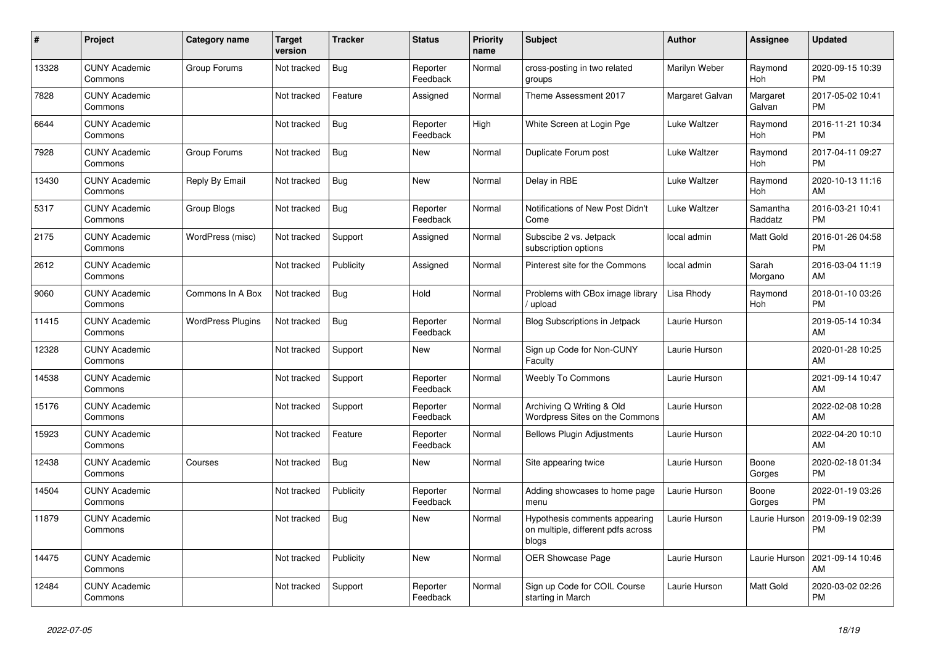| #     | Project                         | <b>Category name</b>     | <b>Target</b><br>version | <b>Tracker</b> | <b>Status</b>        | <b>Priority</b><br>name | <b>Subject</b>                                                               | <b>Author</b>   | <b>Assignee</b>     | <b>Updated</b>                |
|-------|---------------------------------|--------------------------|--------------------------|----------------|----------------------|-------------------------|------------------------------------------------------------------------------|-----------------|---------------------|-------------------------------|
| 13328 | <b>CUNY Academic</b><br>Commons | Group Forums             | Not tracked              | Bug            | Reporter<br>Feedback | Normal                  | cross-posting in two related<br>groups                                       | Marilyn Weber   | Raymond<br>Hoh      | 2020-09-15 10:39<br><b>PM</b> |
| 7828  | <b>CUNY Academic</b><br>Commons |                          | Not tracked              | Feature        | Assigned             | Normal                  | Theme Assessment 2017                                                        | Margaret Galvan | Margaret<br>Galvan  | 2017-05-02 10:41<br><b>PM</b> |
| 6644  | <b>CUNY Academic</b><br>Commons |                          | Not tracked              | <b>Bug</b>     | Reporter<br>Feedback | High                    | White Screen at Login Pge                                                    | Luke Waltzer    | Raymond<br>Hoh      | 2016-11-21 10:34<br><b>PM</b> |
| 7928  | <b>CUNY Academic</b><br>Commons | Group Forums             | Not tracked              | <b>Bug</b>     | New                  | Normal                  | Duplicate Forum post                                                         | Luke Waltzer    | Raymond<br>Hoh      | 2017-04-11 09:27<br><b>PM</b> |
| 13430 | <b>CUNY Academic</b><br>Commons | Reply By Email           | Not tracked              | <b>Bug</b>     | New                  | Normal                  | Delay in RBE                                                                 | Luke Waltzer    | Raymond<br>Hoh      | 2020-10-13 11:16<br>AM        |
| 5317  | <b>CUNY Academic</b><br>Commons | Group Blogs              | Not tracked              | <b>Bug</b>     | Reporter<br>Feedback | Normal                  | Notifications of New Post Didn't<br>Come                                     | Luke Waltzer    | Samantha<br>Raddatz | 2016-03-21 10:41<br><b>PM</b> |
| 2175  | <b>CUNY Academic</b><br>Commons | WordPress (misc)         | Not tracked              | Support        | Assigned             | Normal                  | Subscibe 2 vs. Jetpack<br>subscription options                               | local admin     | Matt Gold           | 2016-01-26 04:58<br><b>PM</b> |
| 2612  | <b>CUNY Academic</b><br>Commons |                          | Not tracked              | Publicity      | Assigned             | Normal                  | Pinterest site for the Commons                                               | local admin     | Sarah<br>Morgano    | 2016-03-04 11:19<br>AM        |
| 9060  | <b>CUNY Academic</b><br>Commons | Commons In A Box         | Not tracked              | Bug            | Hold                 | Normal                  | Problems with CBox image library<br>/ upload                                 | Lisa Rhody      | Raymond<br>Hoh      | 2018-01-10 03:26<br><b>PM</b> |
| 11415 | <b>CUNY Academic</b><br>Commons | <b>WordPress Plugins</b> | Not tracked              | Bug            | Reporter<br>Feedback | Normal                  | <b>Blog Subscriptions in Jetpack</b>                                         | Laurie Hurson   |                     | 2019-05-14 10:34<br>AM        |
| 12328 | <b>CUNY Academic</b><br>Commons |                          | Not tracked              | Support        | New                  | Normal                  | Sign up Code for Non-CUNY<br>Faculty                                         | Laurie Hurson   |                     | 2020-01-28 10:25<br>AM        |
| 14538 | <b>CUNY Academic</b><br>Commons |                          | Not tracked              | Support        | Reporter<br>Feedback | Normal                  | <b>Weebly To Commons</b>                                                     | Laurie Hurson   |                     | 2021-09-14 10:47<br>AM        |
| 15176 | <b>CUNY Academic</b><br>Commons |                          | Not tracked              | Support        | Reporter<br>Feedback | Normal                  | Archiving Q Writing & Old<br>Wordpress Sites on the Commons                  | Laurie Hurson   |                     | 2022-02-08 10:28<br>AM        |
| 15923 | <b>CUNY Academic</b><br>Commons |                          | Not tracked              | Feature        | Reporter<br>Feedback | Normal                  | <b>Bellows Plugin Adjustments</b>                                            | Laurie Hurson   |                     | 2022-04-20 10:10<br>AM        |
| 12438 | <b>CUNY Academic</b><br>Commons | Courses                  | Not tracked              | Bug            | New                  | Normal                  | Site appearing twice                                                         | Laurie Hurson   | Boone<br>Gorges     | 2020-02-18 01:34<br><b>PM</b> |
| 14504 | <b>CUNY Academic</b><br>Commons |                          | Not tracked              | Publicity      | Reporter<br>Feedback | Normal                  | Adding showcases to home page<br>menu                                        | Laurie Hurson   | Boone<br>Gorges     | 2022-01-19 03:26<br><b>PM</b> |
| 11879 | <b>CUNY Academic</b><br>Commons |                          | Not tracked              | Bug            | <b>New</b>           | Normal                  | Hypothesis comments appearing<br>on multiple, different pdfs across<br>blogs | Laurie Hurson   | Laurie Hurson       | 2019-09-19 02:39<br><b>PM</b> |
| 14475 | <b>CUNY Academic</b><br>Commons |                          | Not tracked              | Publicity      | <b>New</b>           | Normal                  | <b>OER Showcase Page</b>                                                     | Laurie Hurson   | Laurie Hurson       | 2021-09-14 10:46<br>AM        |
| 12484 | <b>CUNY Academic</b><br>Commons |                          | Not tracked              | Support        | Reporter<br>Feedback | Normal                  | Sign up Code for COIL Course<br>starting in March                            | Laurie Hurson   | Matt Gold           | 2020-03-02 02:26<br><b>PM</b> |